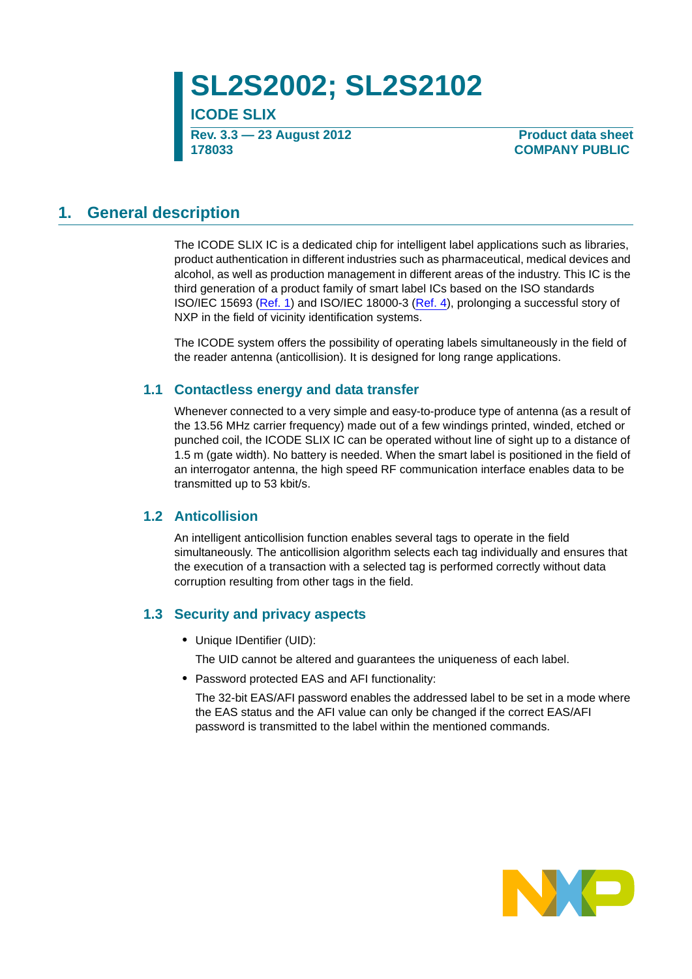**SL2S2002; SL2S2102**

**ICODE SLIX Rev. 3.3 — 23 August 2012 178033**

**Product data sheet COMPANY PUBLIC** 

### <span id="page-0-0"></span>**1. General description**

The ICODE SLIX IC is a dedicated chip for intelligent label applications such as libraries, product authentication in different industries such as pharmaceutical, medical devices and alcohol, as well as production management in different areas of the industry. This IC is the third generation of a product family of smart label ICs based on the ISO standards ISO/IEC 15693 [\(Ref. 1](#page-26-0)) and ISO/IEC 18000-3 ([Ref. 4\)](#page-26-1), prolonging a successful story of NXP in the field of vicinity identification systems.

The ICODE system offers the possibility of operating labels simultaneously in the field of the reader antenna (anticollision). It is designed for long range applications.

#### <span id="page-0-1"></span>**1.1 Contactless energy and data transfer**

Whenever connected to a very simple and easy-to-produce type of antenna (as a result of the 13.56 MHz carrier frequency) made out of a few windings printed, winded, etched or punched coil, the ICODE SLIX IC can be operated without line of sight up to a distance of 1.5 m (gate width). No battery is needed. When the smart label is positioned in the field of an interrogator antenna, the high speed RF communication interface enables data to be transmitted up to 53 kbit/s.

#### <span id="page-0-2"></span>**1.2 Anticollision**

An intelligent anticollision function enables several tags to operate in the field simultaneously. The anticollision algorithm selects each tag individually and ensures that the execution of a transaction with a selected tag is performed correctly without data corruption resulting from other tags in the field.

#### <span id="page-0-3"></span>**1.3 Security and privacy aspects**

**•** Unique IDentifier (UID):

The UID cannot be altered and guarantees the uniqueness of each label.

**•** Password protected EAS and AFI functionality:

The 32-bit EAS/AFI password enables the addressed label to be set in a mode where the EAS status and the AFI value can only be changed if the correct EAS/AFI password is transmitted to the label within the mentioned commands.

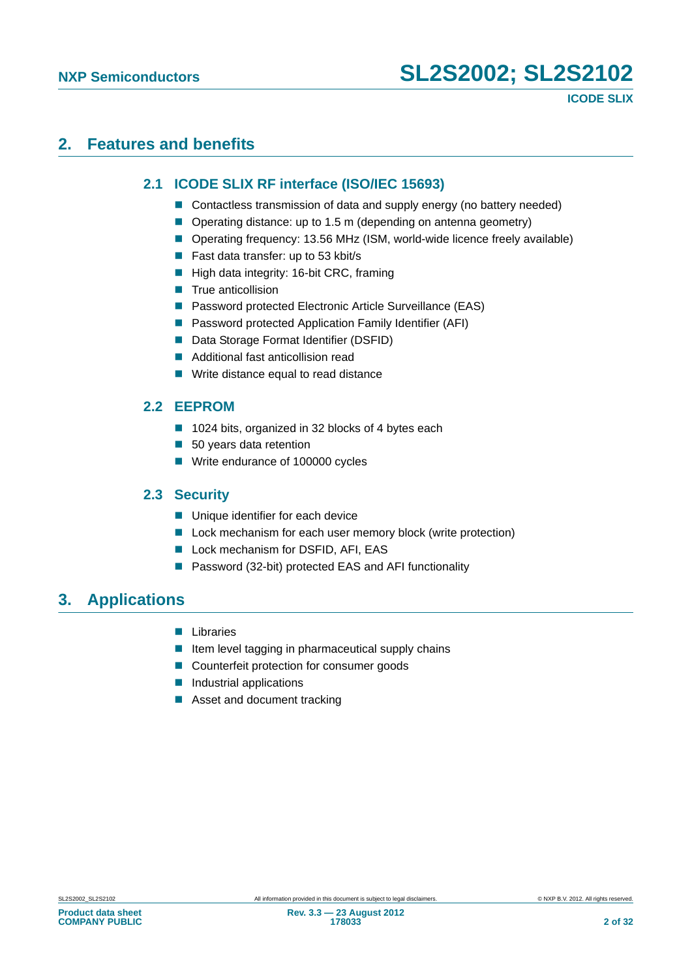## <span id="page-1-1"></span><span id="page-1-0"></span>**2. Features and benefits**

#### **2.1 ICODE SLIX RF interface (ISO/IEC 15693)**

- Contactless transmission of data and supply energy (no battery needed)
- Operating distance: up to 1.5 m (depending on antenna geometry)
- Operating frequency: 13.56 MHz (ISM, world-wide licence freely available)
- Fast data transfer: up to 53 kbit/s
- High data integrity: 16-bit CRC, framing
- $\blacksquare$  True anticollision
- Password protected Electronic Article Surveillance (EAS)
- Password protected Application Family Identifier (AFI)
- Data Storage Format Identifier (DSFID)
- Additional fast anticollision read
- **Write distance equal to read distance**

### <span id="page-1-2"></span>**2.2 EEPROM**

- 1024 bits, organized in 32 blocks of 4 bytes each
- 50 years data retention
- Write endurance of 100000 cycles

#### <span id="page-1-3"></span>**2.3 Security**

- **Unique identifier for each device**
- **Lock mechanism for each user memory block (write protection)**
- **Lock mechanism for DSFID, AFI, EAS**
- Password (32-bit) protected EAS and AFI functionality

### <span id="page-1-4"></span>**3. Applications**

- **Libraries**
- $\blacksquare$  Item level tagging in pharmaceutical supply chains
- Counterfeit protection for consumer goods
- **Industrial applications**
- Asset and document tracking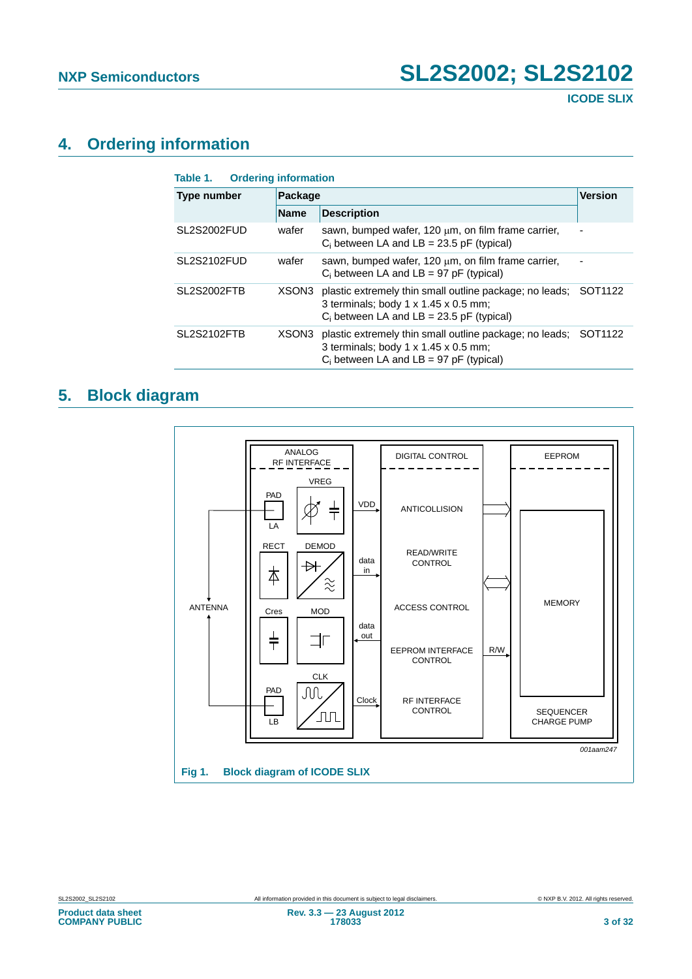## <span id="page-2-2"></span>**4. Ordering information**

<span id="page-2-0"></span>

| <b>Type number</b> | Package     |                                                                                                                                                | <b>Version</b>      |  |
|--------------------|-------------|------------------------------------------------------------------------------------------------------------------------------------------------|---------------------|--|
|                    | <b>Name</b> | <b>Description</b>                                                                                                                             |                     |  |
| SL2S2002FUD        | wafer       | sawn, bumped wafer, 120 $\mu$ m, on film frame carrier,<br>$C_i$ between LA and LB = 23.5 pF (typical)                                         |                     |  |
| SL2S2102FUD        | wafer       | sawn, bumped wafer, 120 um, on film frame carrier,<br>$C_i$ between LA and LB = 97 pF (typical)                                                |                     |  |
| <b>SL2S2002FTB</b> | XSON3       | plastic extremely thin small outline package; no leads;<br>3 terminals; body 1 x 1.45 x 0.5 mm;<br>$C_i$ between LA and LB = 23.5 pF (typical) | SOT <sub>1122</sub> |  |
| <b>SL2S2102FTB</b> | XSON3       | plastic extremely thin small outline package; no leads;<br>3 terminals; body 1 x 1.45 x 0.5 mm;<br>$C_i$ between LA and LB = 97 pF (typical)   | SOT <sub>1122</sub> |  |

## <span id="page-2-3"></span>**5. Block diagram**

<span id="page-2-1"></span>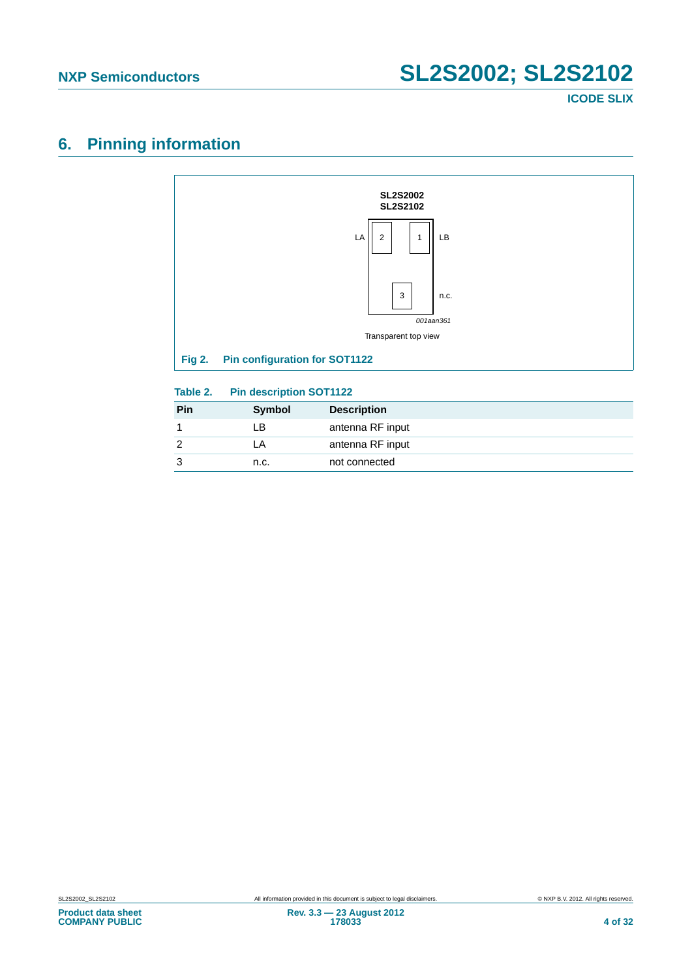**ICODE SLIX**

## <span id="page-3-2"></span>**6. Pinning information**



<span id="page-3-1"></span><span id="page-3-0"></span>

| $I$ a $U$ ic $L$ . | <b>FIII GESCHIJGUI SOTTIZZ</b> |                    |  |
|--------------------|--------------------------------|--------------------|--|
| Pin                | <b>Symbol</b>                  | <b>Description</b> |  |
|                    | LΒ                             | antenna RF input   |  |
|                    | LA                             | antenna RF input   |  |
|                    | n.c.                           | not connected      |  |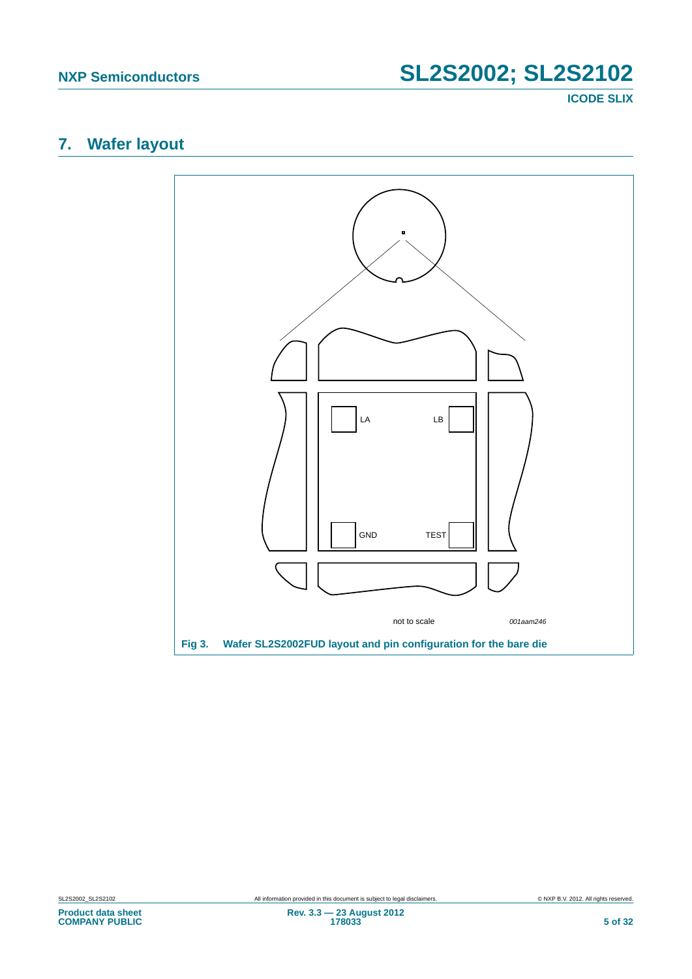**ICODE SLIX**

## <span id="page-4-1"></span>**7. Wafer layout**

<span id="page-4-0"></span>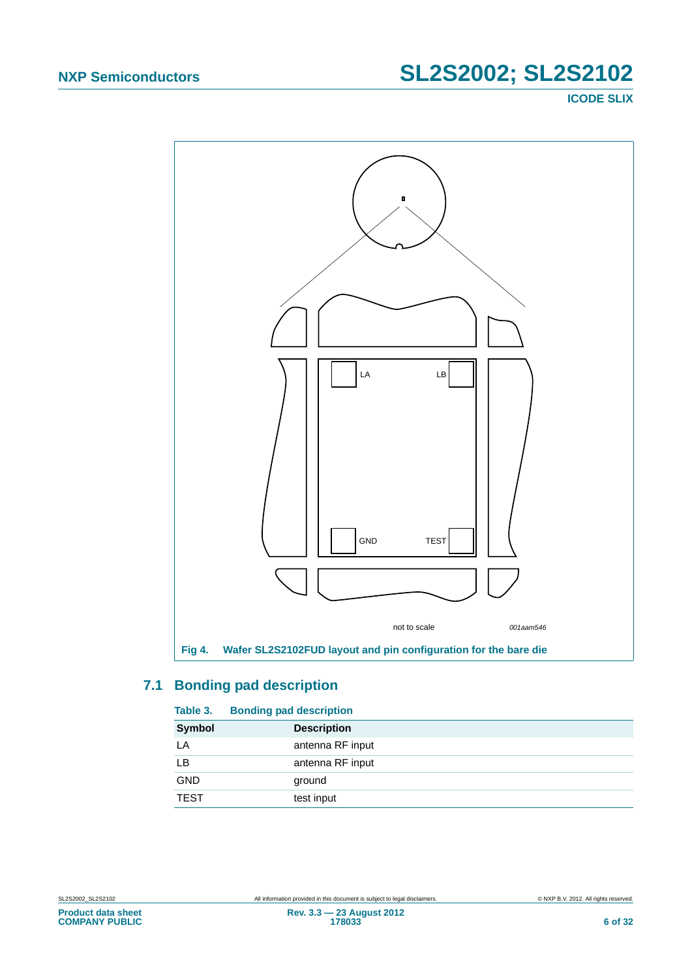**ICODE SLIX**



### <span id="page-5-2"></span><span id="page-5-1"></span>**7.1 Bonding pad description**

<span id="page-5-0"></span>

| Table 3.      | <b>Bonding pad description</b> |
|---------------|--------------------------------|
| <b>Symbol</b> | <b>Description</b>             |
| LA            | antenna RF input               |
| LВ            | antenna RF input               |
| GND           | ground                         |
| <b>TEST</b>   | test input                     |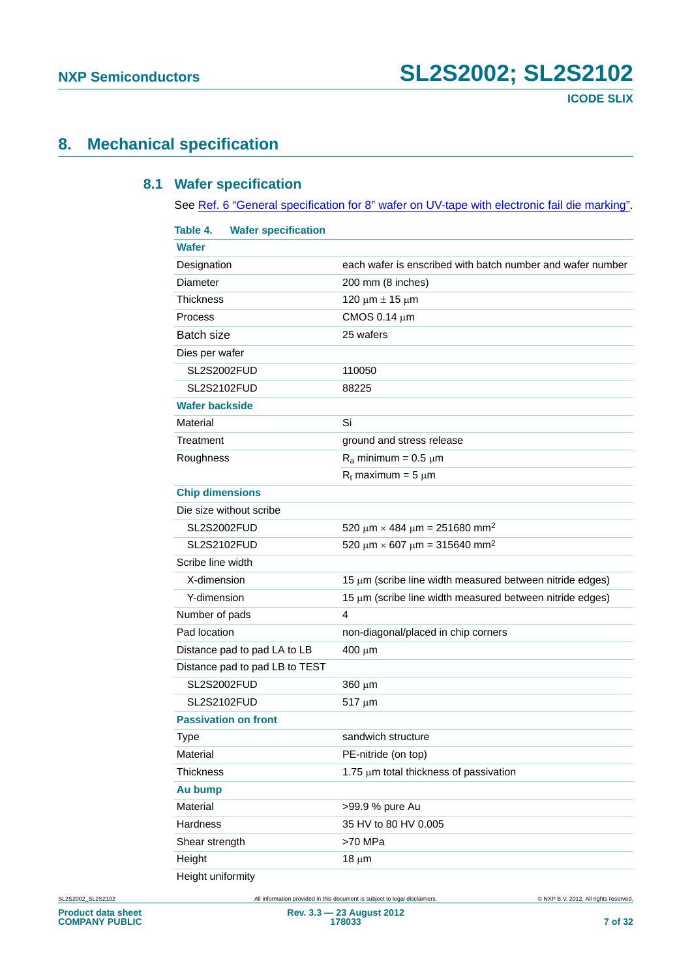## <span id="page-6-2"></span><span id="page-6-1"></span>**8. Mechanical specification**

#### **8.1 Wafer specification**

See [Ref. 6 "General specification for 8" wafer on UV-tape with electronic fail die marking"](#page-26-2).

<span id="page-6-0"></span>

| Table 4.<br><b>Wafer specification</b> |                                                            |
|----------------------------------------|------------------------------------------------------------|
| <b>Wafer</b>                           |                                                            |
| Designation                            | each wafer is enscribed with batch number and wafer number |
| Diameter                               | 200 mm (8 inches)                                          |
| <b>Thickness</b>                       | 120 μm $±$ 15 μm                                           |
| Process                                | CMOS 0.14 $\mu$ m                                          |
| Batch size                             | 25 wafers                                                  |
| Dies per wafer                         |                                                            |
| SL2S2002FUD                            | 110050                                                     |
| <b>SL2S2102FUD</b>                     | 88225                                                      |
| <b>Wafer backside</b>                  |                                                            |
| Material                               | Si                                                         |
| Treatment                              | ground and stress release                                  |
| Roughness                              | $R_a$ minimum = 0.5 $\mu$ m                                |
|                                        | $R_t$ maximum = 5 $\mu$ m                                  |
| <b>Chip dimensions</b>                 |                                                            |
| Die size without scribe                |                                                            |
| <b>SL2S2002FUD</b>                     | 520 $\mu$ m × 484 $\mu$ m = 251680 mm <sup>2</sup>         |
| <b>SL2S2102FUD</b>                     | 520 $\mu$ m × 607 $\mu$ m = 315640 mm <sup>2</sup>         |
| Scribe line width                      |                                                            |
| X-dimension                            | 15 μm (scribe line width measured between nitride edges)   |
| Y-dimension                            | 15 µm (scribe line width measured between nitride edges)   |
| Number of pads                         | 4                                                          |
| Pad location                           | non-diagonal/placed in chip corners                        |
| Distance pad to pad LA to LB           | $400 \mu m$                                                |
| Distance pad to pad LB to TEST         |                                                            |
| <b>SL2S2002FUD</b>                     | $360 \mu m$                                                |
| <b>SL2S2102FUD</b>                     | $517 \mu m$                                                |
| <b>Passivation on front</b>            |                                                            |
| <b>Type</b>                            | sandwich structure                                         |
| Material                               | PE-nitride (on top)                                        |
| <b>Thickness</b>                       | 1.75 µm total thickness of passivation                     |
| Au bump                                |                                                            |
| Material                               | >99.9 % pure Au                                            |
| Hardness                               | 35 HV to 80 HV 0.005                                       |
| Shear strength                         | >70 MPa                                                    |
| Height                                 | $18 \mu m$                                                 |
| Height uniformity                      |                                                            |

SL2S2002\_SL2S2102 All information provided in this document is subject to legal disclaimers. © NXP B.V. 2012. All rights reserved.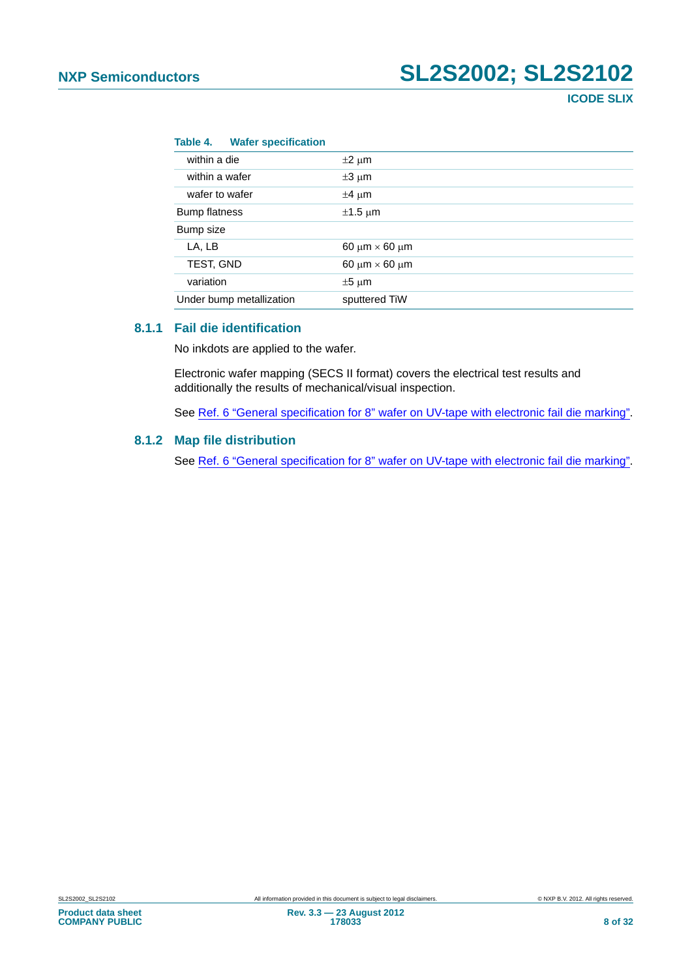#### **Table 4. Wafer specification**

| within a die             | $\pm 2 \mu m$                  |
|--------------------------|--------------------------------|
| within a wafer           | $\pm 3 \mu m$                  |
| wafer to wafer           | $\pm 4 \mu m$                  |
| <b>Bump flatness</b>     | $\pm 1.5$ µm                   |
| Bump size                |                                |
| LA, LB                   | 60 $\mu$ m $\times$ 60 $\mu$ m |
| TEST, GND                | 60 $\mu$ m $\times$ 60 $\mu$ m |
| variation                | $±5 \mu m$                     |
| Under bump metallization | sputtered TiW                  |
|                          |                                |

#### <span id="page-7-0"></span>**8.1.1 Fail die identification**

No inkdots are applied to the wafer.

Electronic wafer mapping (SECS II format) covers the electrical test results and additionally the results of mechanical/visual inspection.

See [Ref. 6 "General specification for 8" wafer on UV-tape with electronic fail die marking"](#page-26-2).

#### <span id="page-7-1"></span>**8.1.2 Map file distribution**

See [Ref. 6 "General specification for 8" wafer on UV-tape with electronic fail die marking"](#page-26-2).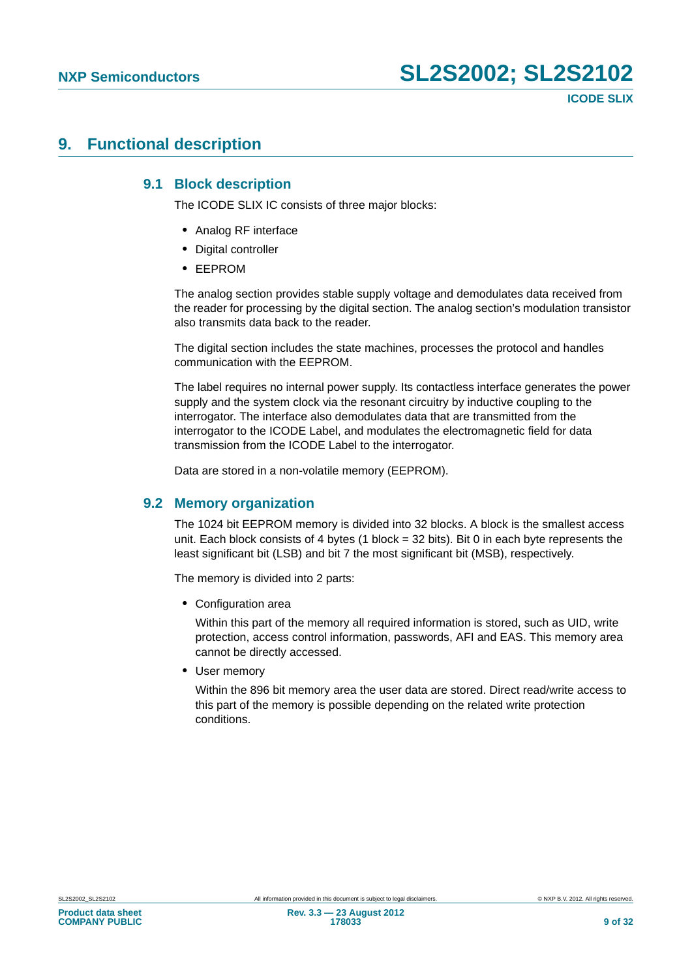### <span id="page-8-1"></span><span id="page-8-0"></span>**9. Functional description**

#### **9.1 Block description**

The ICODE SLIX IC consists of three major blocks:

- **•** Analog RF interface
- **•** Digital controller
- **•** EEPROM

The analog section provides stable supply voltage and demodulates data received from the reader for processing by the digital section. The analog section's modulation transistor also transmits data back to the reader.

The digital section includes the state machines, processes the protocol and handles communication with the EEPROM.

The label requires no internal power supply. Its contactless interface generates the power supply and the system clock via the resonant circuitry by inductive coupling to the interrogator. The interface also demodulates data that are transmitted from the interrogator to the ICODE Label, and modulates the electromagnetic field for data transmission from the ICODE Label to the interrogator.

Data are stored in a non-volatile memory (EEPROM).

#### <span id="page-8-2"></span>**9.2 Memory organization**

The 1024 bit EEPROM memory is divided into 32 blocks. A block is the smallest access unit. Each block consists of 4 bytes (1 block = 32 bits). Bit 0 in each byte represents the least significant bit (LSB) and bit 7 the most significant bit (MSB), respectively.

The memory is divided into 2 parts:

**•** Configuration area

Within this part of the memory all required information is stored, such as UID, write protection, access control information, passwords, AFI and EAS. This memory area cannot be directly accessed.

**•** User memory

Within the 896 bit memory area the user data are stored. Direct read/write access to this part of the memory is possible depending on the related write protection conditions.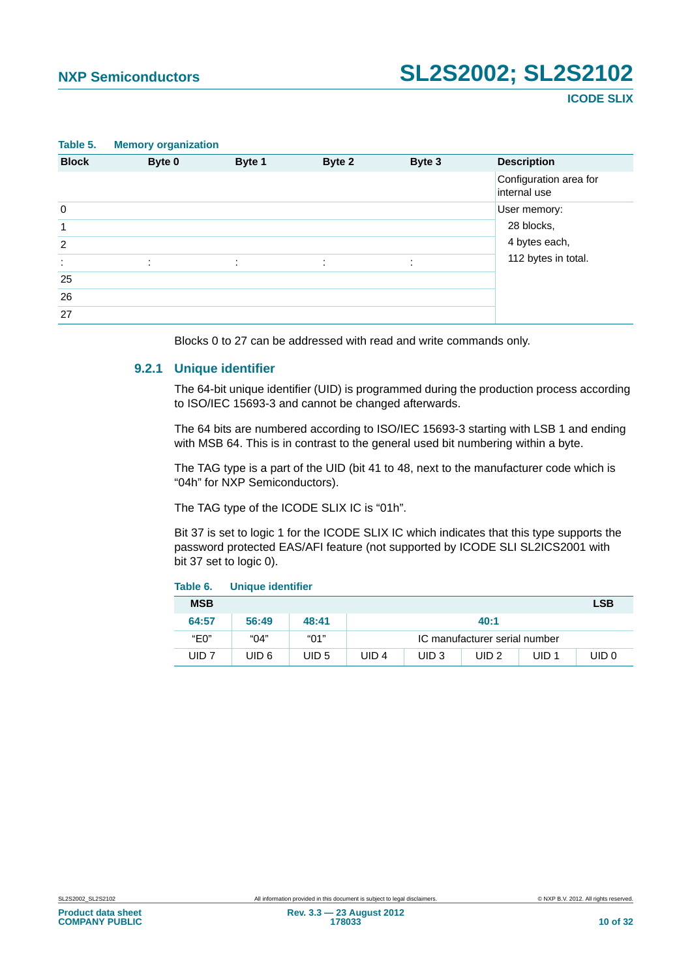<span id="page-9-0"></span>

| Table 5.       | <b>Memory organization</b> |                     |        |        |                                        |
|----------------|----------------------------|---------------------|--------|--------|----------------------------------------|
| <b>Block</b>   | Byte 0                     | Byte 1              | Byte 2 | Byte 3 | <b>Description</b>                     |
|                |                            |                     |        |        | Configuration area for<br>internal use |
| $\mathbf 0$    |                            |                     |        |        | User memory:                           |
| $\mathbf{1}$   |                            |                     |        |        | 28 blocks,                             |
| $\overline{2}$ |                            |                     |        |        | 4 bytes each,                          |
| ÷              | ٠                          | $\bullet$<br>$\sim$ | ÷      | ٠      | 112 bytes in total.                    |
| 25             |                            |                     |        |        |                                        |
| 26             |                            |                     |        |        |                                        |
| 27             |                            |                     |        |        |                                        |

Blocks 0 to 27 can be addressed with read and write commands only.

#### <span id="page-9-2"></span>**9.2.1 Unique identifier**

The 64-bit unique identifier (UID) is programmed during the production process according to ISO/IEC 15693-3 and cannot be changed afterwards.

The 64 bits are numbered according to ISO/IEC 15693-3 starting with LSB 1 and ending with MSB 64. This is in contrast to the general used bit numbering within a byte.

The TAG type is a part of the UID (bit 41 to 48, next to the manufacturer code which is "04h" for NXP Semiconductors).

The TAG type of the ICODE SLIX IC is "01h".

Bit 37 is set to logic 1 for the ICODE SLIX IC which indicates that this type supports the password protected EAS/AFI feature (not supported by ICODE SLI SL2ICS2001 with bit 37 set to logic 0).

<span id="page-9-1"></span>

| Table 6.         | <b>Unique identifier</b> |       |                  |                  |                               |                  |                  |
|------------------|--------------------------|-------|------------------|------------------|-------------------------------|------------------|------------------|
| <b>MSB</b>       |                          |       |                  |                  |                               |                  | <b>LSB</b>       |
| 64:57            | 56:49                    | 48:41 |                  |                  | 40:1                          |                  |                  |
| "Е0"             | "04"                     | "01"  |                  |                  | IC manufacturer serial number |                  |                  |
| UID <sub>7</sub> | UID 6                    | UID 5 | UID <sub>4</sub> | UID <sub>3</sub> | UID <sub>2</sub>              | UID <sub>1</sub> | UID <sub>0</sub> |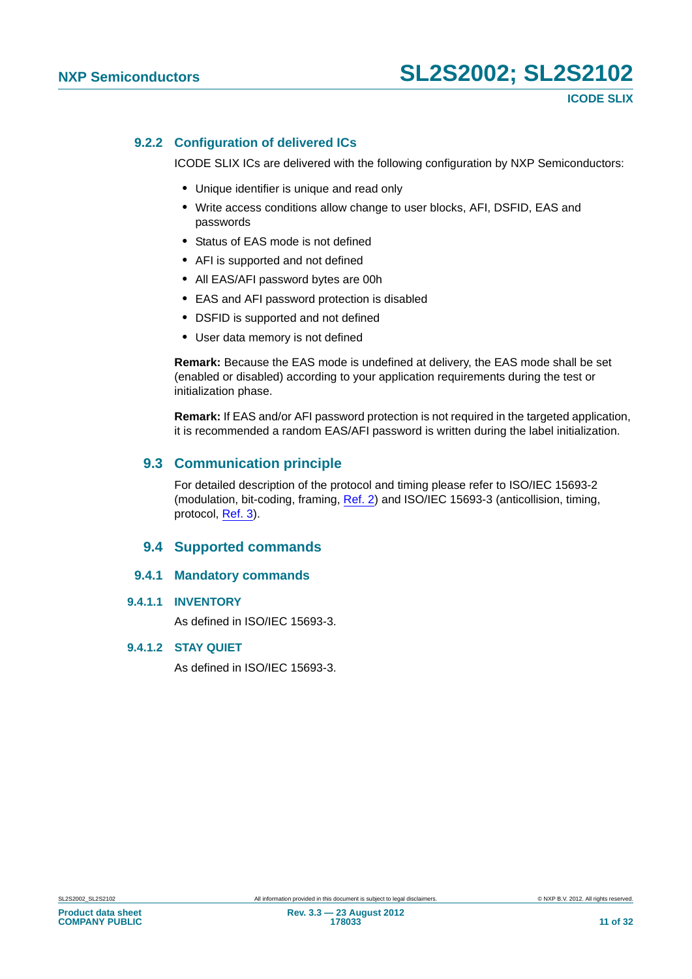#### <span id="page-10-0"></span>**9.2.2 Configuration of delivered ICs**

ICODE SLIX ICs are delivered with the following configuration by NXP Semiconductors:

- **•** Unique identifier is unique and read only
- **•** Write access conditions allow change to user blocks, AFI, DSFID, EAS and passwords
- **•** Status of EAS mode is not defined
- **•** AFI is supported and not defined
- **•** All EAS/AFI password bytes are 00h
- **•** EAS and AFI password protection is disabled
- **•** DSFID is supported and not defined
- **•** User data memory is not defined

**Remark:** Because the EAS mode is undefined at delivery, the EAS mode shall be set (enabled or disabled) according to your application requirements during the test or initialization phase.

**Remark:** If EAS and/or AFI password protection is not required in the targeted application, it is recommended a random EAS/AFI password is written during the label initialization.

#### <span id="page-10-1"></span>**9.3 Communication principle**

For detailed description of the protocol and timing please refer to ISO/IEC 15693-2 (modulation, bit-coding, framing, [Ref. 2](#page-26-3)) and ISO/IEC 15693-3 (anticollision, timing, protocol, [Ref. 3\)](#page-26-4).

#### **9.4 Supported commands**

#### <span id="page-10-2"></span>**9.4.1 Mandatory commands**

#### <span id="page-10-4"></span><span id="page-10-3"></span>**9.4.1.1 INVENTORY**

As defined in ISO/IEC 15693-3.

#### <span id="page-10-5"></span>**9.4.1.2 STAY QUIET**

As defined in ISO/IEC 15693-3.

**COMPANY PUBLIC**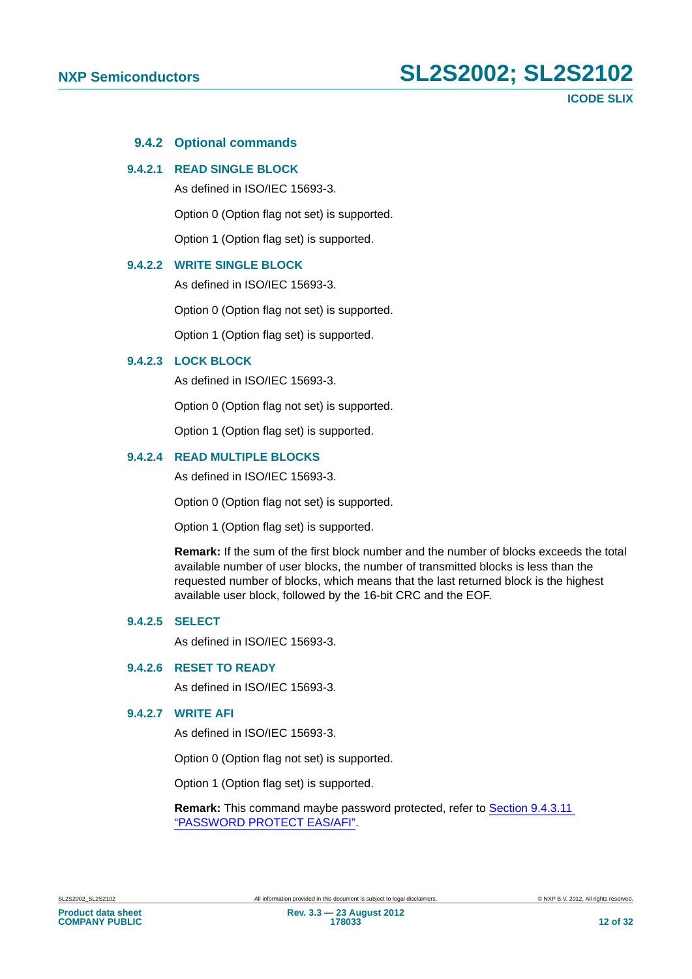#### **9.4.2 Optional commands**

#### <span id="page-11-1"></span><span id="page-11-0"></span>**9.4.2.1 READ SINGLE BLOCK**

As defined in ISO/IEC 15693-3.

Option 0 (Option flag not set) is supported.

Option 1 (Option flag set) is supported.

#### <span id="page-11-2"></span>**9.4.2.2 WRITE SINGLE BLOCK**

As defined in ISO/IEC 15693-3.

Option 0 (Option flag not set) is supported.

Option 1 (Option flag set) is supported.

#### <span id="page-11-3"></span>**9.4.2.3 LOCK BLOCK**

As defined in ISO/IEC 15693-3.

Option 0 (Option flag not set) is supported.

Option 1 (Option flag set) is supported.

#### <span id="page-11-4"></span>**9.4.2.4 READ MULTIPLE BLOCKS**

As defined in ISO/IEC 15693-3.

Option 0 (Option flag not set) is supported.

Option 1 (Option flag set) is supported.

**Remark:** If the sum of the first block number and the number of blocks exceeds the total available number of user blocks, the number of transmitted blocks is less than the requested number of blocks, which means that the last returned block is the highest available user block, followed by the 16-bit CRC and the EOF.

#### <span id="page-11-5"></span>**9.4.2.5 SELECT**

As defined in ISO/IEC 15693-3.

#### <span id="page-11-6"></span>**9.4.2.6 RESET TO READY**

As defined in ISO/IEC 15693-3.

#### <span id="page-11-7"></span>**9.4.2.7 WRITE AFI**

As defined in ISO/IEC 15693-3.

Option 0 (Option flag not set) is supported.

Option 1 (Option flag set) is supported.

**Remark:** This command maybe password protected, refer to [Section 9.4.3.11](#page-19-0)  ["PASSWORD PROTECT EAS/AFI".](#page-19-0)

**COMPANY PUBLIC**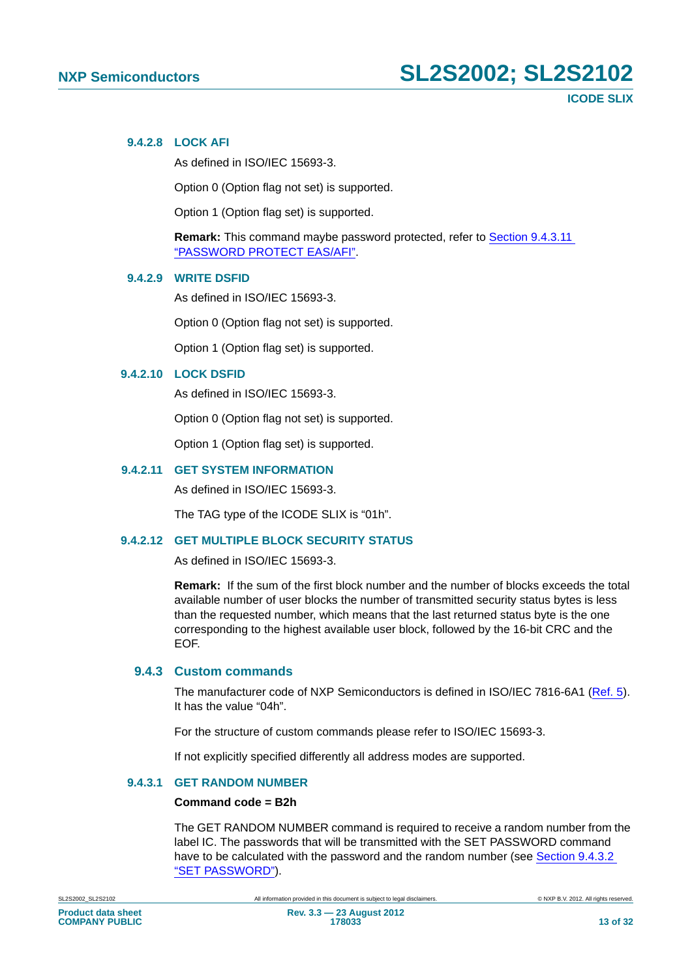#### <span id="page-12-0"></span>**9.4.2.8 LOCK AFI**

As defined in ISO/IEC 15693-3.

Option 0 (Option flag not set) is supported.

Option 1 (Option flag set) is supported.

**Remark:** This command maybe password protected, refer to [Section 9.4.3.11](#page-19-0)  ["PASSWORD PROTECT EAS/AFI".](#page-19-0)

#### <span id="page-12-1"></span>**9.4.2.9 WRITE DSFID**

As defined in ISO/IEC 15693-3.

Option 0 (Option flag not set) is supported.

Option 1 (Option flag set) is supported.

#### <span id="page-12-2"></span>**9.4.2.10 LOCK DSFID**

As defined in ISO/IEC 15693-3.

Option 0 (Option flag not set) is supported.

Option 1 (Option flag set) is supported.

#### <span id="page-12-3"></span>**9.4.2.11 GET SYSTEM INFORMATION**

As defined in ISO/IEC 15693-3.

The TAG type of the ICODE SLIX is "01h".

#### <span id="page-12-4"></span>**9.4.2.12 GET MULTIPLE BLOCK SECURITY STATUS**

As defined in ISO/IEC 15693-3.

**Remark:** If the sum of the first block number and the number of blocks exceeds the total available number of user blocks the number of transmitted security status bytes is less than the requested number, which means that the last returned status byte is the one corresponding to the highest available user block, followed by the 16-bit CRC and the EOF.

#### <span id="page-12-5"></span>**9.4.3 Custom commands**

The manufacturer code of NXP Semiconductors is defined in ISO/IEC 7816-6A1 ([Ref. 5](#page-26-5)). It has the value "04h".

For the structure of custom commands please refer to ISO/IEC 15693-3.

If not explicitly specified differently all address modes are supported.

#### <span id="page-12-6"></span>**9.4.3.1 GET RANDOM NUMBER**

#### **Command code = B2h**

The GET RANDOM NUMBER command is required to receive a random number from the label IC. The passwords that will be transmitted with the SET PASSWORD command have to be calculated with the password and the random number (see [Section 9.4.3.2](#page-13-0)  ["SET PASSWORD"\)](#page-13-0).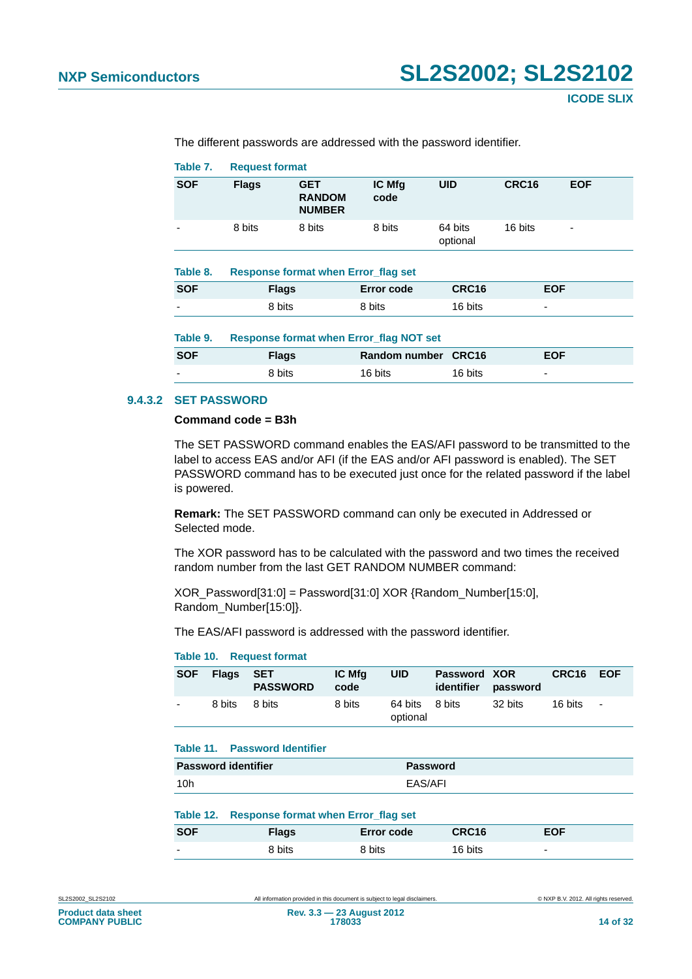<span id="page-13-2"></span><span id="page-13-1"></span>

| Table 7.   | <b>Request format</b>                      |                                              |                                                |                     |                   |            |
|------------|--------------------------------------------|----------------------------------------------|------------------------------------------------|---------------------|-------------------|------------|
| <b>SOF</b> | <b>Flags</b>                               | <b>GET</b><br><b>RANDOM</b><br><b>NUMBER</b> | IC Mfg<br>code                                 | <b>UID</b>          | CRC <sub>16</sub> | <b>EOF</b> |
|            | 8 bits                                     | 8 bits                                       | 8 bits                                         | 64 bits<br>optional | 16 bits           |            |
| Table 8.   | <b>Response format when Error flag set</b> |                                              |                                                |                     |                   |            |
| <b>SOF</b> |                                            | <b>Flags</b>                                 | <b>Error code</b>                              | <b>CRC16</b>        |                   | <b>EOF</b> |
|            | 8 bits                                     |                                              | 8 bits                                         | 16 bits             | ٠                 |            |
| Table 9.   |                                            |                                              | <b>Response format when Error_flag NOT set</b> |                     |                   |            |
| <b>SOF</b> |                                            | <b>Flags</b>                                 | <b>Random number</b>                           | CRC16               |                   | <b>EOF</b> |
|            | 8 bits                                     |                                              | 16 bits                                        | 16 bits             | ٠                 |            |
|            |                                            |                                              |                                                |                     |                   |            |

The different passwords are addressed with the password identifier.

#### <span id="page-13-3"></span><span id="page-13-0"></span>**9.4.3.2 SET PASSWORD**

#### **Command code = B3h**

The SET PASSWORD command enables the EAS/AFI password to be transmitted to the label to access EAS and/or AFI (if the EAS and/or AFI password is enabled). The SET PASSWORD command has to be executed just once for the related password if the label is powered.

**Remark:** The SET PASSWORD command can only be executed in Addressed or Selected mode.

The XOR password has to be calculated with the password and two times the received random number from the last GET RANDOM NUMBER command:

XOR\_Password[31:0] = Password[31:0] XOR {Random\_Number[15:0], Random\_Number[15:0]}.

The EAS/AFI password is addressed with the password identifier.

#### <span id="page-13-4"></span>**Table 10. Request format**

| <b>SOF</b> | Flags  | <b>SET</b><br><b>PASSWORD</b> | <b>IC Mfg</b><br>code | <b>UID</b>          | Password XOR | identifier password | CRC16 EOF |               |
|------------|--------|-------------------------------|-----------------------|---------------------|--------------|---------------------|-----------|---------------|
|            | 8 bits | 8 bits                        | 8 bits                | 64 bits<br>optional | 8 bits       | 32 bits             | 16 bits   | $\sim$ $\sim$ |

#### <span id="page-13-5"></span>**Table 11. Password Identifier**

| <b>Password identifier</b> | Password |
|----------------------------|----------|
| 10h                        | EAS/AFI  |

<span id="page-13-6"></span>

|  | Table 12. Response format when Error_flag set |  |  |  |  |  |
|--|-----------------------------------------------|--|--|--|--|--|
|--|-----------------------------------------------|--|--|--|--|--|

| <b>SOF</b>               | <b>Flags</b> | Error code | CRC16   | EOF                      |
|--------------------------|--------------|------------|---------|--------------------------|
| $\overline{\phantom{0}}$ | 8 bits       | 8 bits     | 16 bits | $\overline{\phantom{0}}$ |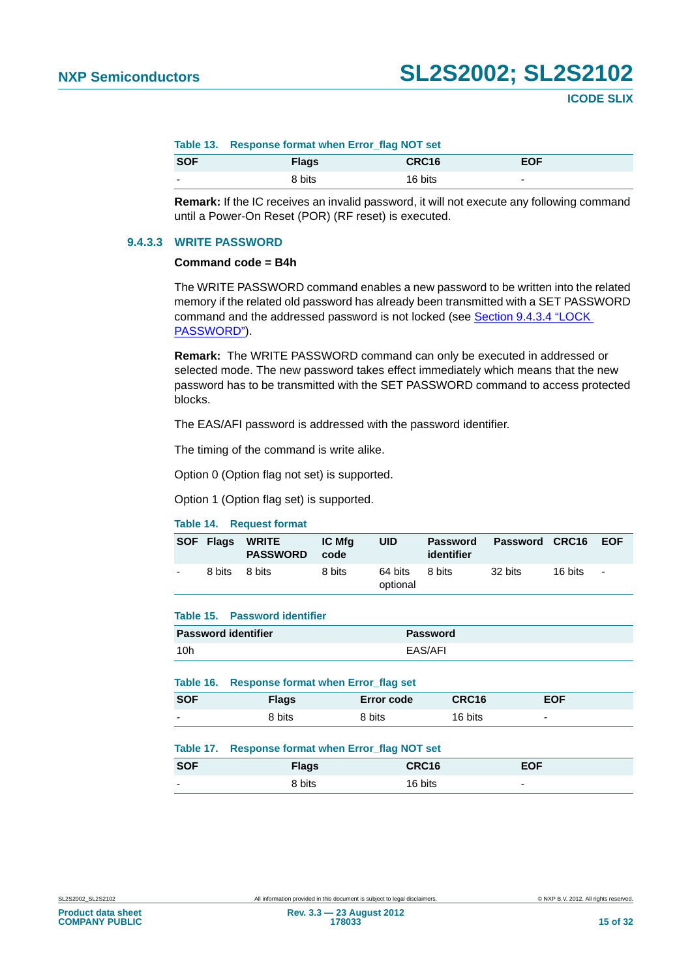<span id="page-14-0"></span>

|                          | Table 13. Response format when Error flag NOT set |                   |                          |  |  |
|--------------------------|---------------------------------------------------|-------------------|--------------------------|--|--|
| <b>SOF</b>               | <b>Flags</b>                                      | CRC <sub>16</sub> | <b>EOF</b>               |  |  |
| $\overline{\phantom{0}}$ | 8 bits                                            | 16 bits           | $\overline{\phantom{0}}$ |  |  |

**Remark:** If the IC receives an invalid password, it will not execute any following command until a Power-On Reset (POR) (RF reset) is executed.

#### <span id="page-14-5"></span>**9.4.3.3 WRITE PASSWORD**

#### **Command code = B4h**

The WRITE PASSWORD command enables a new password to be written into the related memory if the related old password has already been transmitted with a SET PASSWORD command and the addressed password is not locked (see [Section 9.4.3.4 "LOCK](#page-15-0)  [PASSWORD"](#page-15-0)).

**Remark:** The WRITE PASSWORD command can only be executed in addressed or selected mode. The new password takes effect immediately which means that the new password has to be transmitted with the SET PASSWORD command to access protected blocks.

The EAS/AFI password is addressed with the password identifier.

The timing of the command is write alike.

Option 0 (Option flag not set) is supported.

Option 1 (Option flag set) is supported.

#### <span id="page-14-1"></span>**Table 14. Request format**

|        | <b>SOF Flags WRITE</b><br><b>PASSWORD</b> | IC Mfa<br>code | UID                 | Password<br>identifier | <b>Password CRC16</b> |         | <b>EOF</b>     |
|--------|-------------------------------------------|----------------|---------------------|------------------------|-----------------------|---------|----------------|
| 8 bits | 8 bits                                    | 8 bits         | 64 bits<br>optional | 8 bits                 | 32 bits               | 16 bits | $\blacksquare$ |

#### <span id="page-14-2"></span>**Table 15. Password identifier**

| <b>Password identifier</b> | Password |
|----------------------------|----------|
| 10 <sub>h</sub>            | EAS/AFI  |

#### <span id="page-14-3"></span>**Table 16. Response format when Error\_flag set**

| <b>SOF</b>               | Flags  | <b>Error code</b> | CRC16   | <b>EOF</b>               |
|--------------------------|--------|-------------------|---------|--------------------------|
| $\overline{\phantom{a}}$ | 8 bits | 8 bits            | 16 bits | $\overline{\phantom{0}}$ |

#### <span id="page-14-4"></span>**Table 17. Response format when Error\_flag NOT set**

| <b>SOF</b>               | <b>Flags</b> | CRC16   | EOF. |  |
|--------------------------|--------------|---------|------|--|
| $\overline{\phantom{0}}$ | 8 bits       | 16 bits | -    |  |

**COMPANY PUBLIC**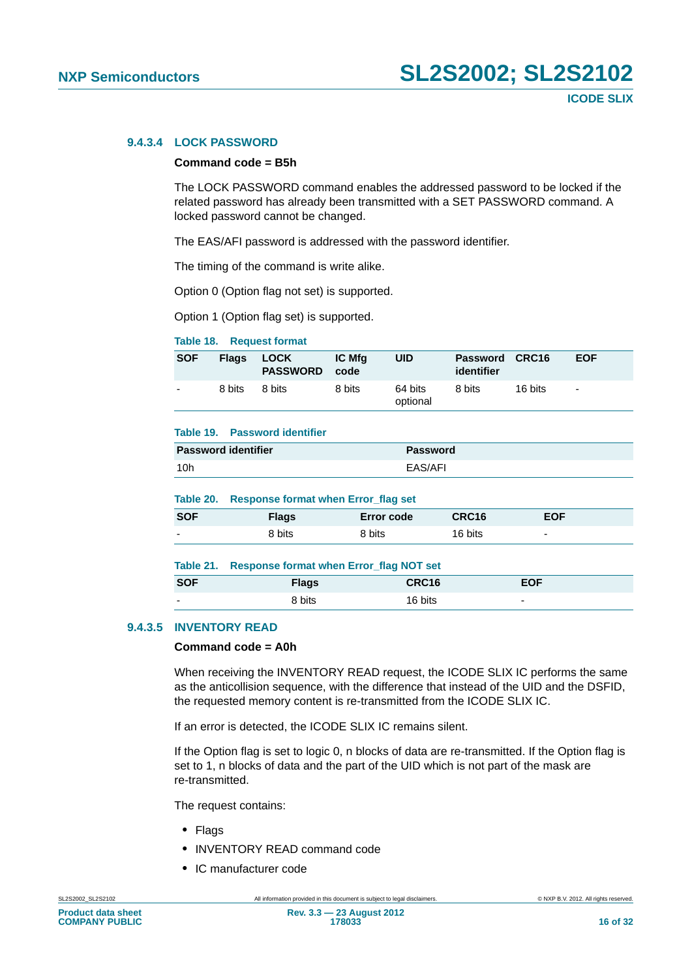#### <span id="page-15-0"></span>**9.4.3.4 LOCK PASSWORD**

#### **Command code = B5h**

The LOCK PASSWORD command enables the addressed password to be locked if the related password has already been transmitted with a SET PASSWORD command. A locked password cannot be changed.

The EAS/AFI password is addressed with the password identifier.

The timing of the command is write alike.

Option 0 (Option flag not set) is supported.

Option 1 (Option flag set) is supported.

#### <span id="page-15-1"></span>**Table 18. Request format**

| <b>SOF</b>               | <b>Flags</b> | LOCK<br><b>PASSWORD</b> | <b>IC Mfg</b><br>code | UID                 | Password CRC16<br>identifier |         | <b>EOF</b> |
|--------------------------|--------------|-------------------------|-----------------------|---------------------|------------------------------|---------|------------|
| $\overline{\phantom{0}}$ | 8 bits       | 8 bits                  | 8 bits                | 64 bits<br>optional | 8 bits                       | 16 bits | $\sim$     |

#### <span id="page-15-2"></span>**Table 19. Password identifier**

| <b>Password identifier</b> | Password |
|----------------------------|----------|
| 10 <sub>h</sub>            | EAS/AFI  |

#### <span id="page-15-3"></span>**Table 20. Response format when Error\_flag set**

| <b>SOF</b> | Flags  | <b>Error code</b> | CRC16   | <b>EOF</b>               |
|------------|--------|-------------------|---------|--------------------------|
| -          | 8 bits | 8 bits            | 16 bits | $\overline{\phantom{0}}$ |

<span id="page-15-4"></span>

|                          | Table 21. Response format when Error_flag NOT set |                   |                          |  |  |
|--------------------------|---------------------------------------------------|-------------------|--------------------------|--|--|
| <b>SOF</b>               | <b>Flags</b>                                      | CRC <sub>16</sub> | <b>EOF</b>               |  |  |
| $\overline{\phantom{0}}$ | 8 bits                                            | 16 bits           | $\overline{\phantom{0}}$ |  |  |

#### <span id="page-15-5"></span>**9.4.3.5 INVENTORY READ**

#### **Command code = A0h**

When receiving the INVENTORY READ request, the ICODE SLIX IC performs the same as the anticollision sequence, with the difference that instead of the UID and the DSFID, the requested memory content is re-transmitted from the ICODE SLIX IC.

If an error is detected, the ICODE SLIX IC remains silent.

If the Option flag is set to logic 0, n blocks of data are re-transmitted. If the Option flag is set to 1, n blocks of data and the part of the UID which is not part of the mask are re-transmitted.

The request contains:

- **•** Flags
- **•** INVENTORY READ command code
- **•** IC manufacturer code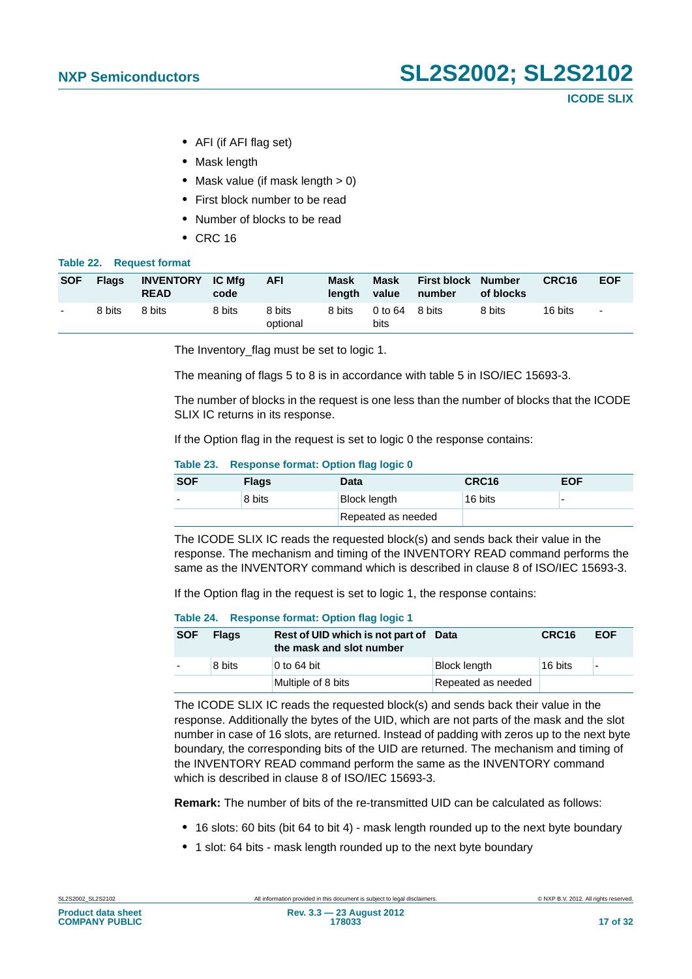- **•** AFI (if AFI flag set)
- **•** Mask length
- Mask value (if mask length > 0)
- **•** First block number to be read
- **•** Number of blocks to be read
- **•** CRC 16

#### <span id="page-16-0"></span>**Table 22. Request format**

| <b>SOF</b> | <b>Flags</b> | INVENTORY IC Mfg<br><b>READ</b> | code   | <b>AFI</b>         | Mask<br>lenath | Mask<br>value          | <b>First block Number</b><br>number | of blocks | CRC <sub>16</sub> | <b>EOF</b> |
|------------|--------------|---------------------------------|--------|--------------------|----------------|------------------------|-------------------------------------|-----------|-------------------|------------|
| $\sim$     | 8 bits       | 8 bits                          | 8 bits | 8 bits<br>optional | 8 bits         | 0 to 64 8 bits<br>bits |                                     | 8 bits    | 16 bits           | $\sim$     |

The Inventory flag must be set to logic 1.

The meaning of flags 5 to 8 is in accordance with table 5 in ISO/IEC 15693-3.

The number of blocks in the request is one less than the number of blocks that the ICODE SLIX IC returns in its response.

If the Option flag in the request is set to logic 0 the response contains:

#### <span id="page-16-1"></span>**Table 23. Response format: Option flag logic 0**

| <b>SOF</b> | <b>Flags</b> | <b>Data</b>         | CRC <sub>16</sub> | <b>EOF</b> |
|------------|--------------|---------------------|-------------------|------------|
|            | 8 bits       | <b>Block length</b> | 16 bits           |            |
|            |              | Repeated as needed  |                   |            |

The ICODE SLIX IC reads the requested block(s) and sends back their value in the response. The mechanism and timing of the INVENTORY READ command performs the same as the INVENTORY command which is described in clause 8 of ISO/IEC 15693-3.

If the Option flag in the request is set to logic 1, the response contains:

#### <span id="page-16-2"></span>**Table 24. Response format: Option flag logic 1**

| <b>SOF</b> | <b>Flags</b> | Rest of UID which is not part of Data<br>the mask and slot number |                     | CRC <sub>16</sub> | <b>EOF</b> |
|------------|--------------|-------------------------------------------------------------------|---------------------|-------------------|------------|
|            | 8 bits       | 0 to $64$ bit                                                     | <b>Block length</b> | 16 bits           | ۰          |
|            |              | Multiple of 8 bits                                                | Repeated as needed  |                   |            |

The ICODE SLIX IC reads the requested block(s) and sends back their value in the response. Additionally the bytes of the UID, which are not parts of the mask and the slot number in case of 16 slots, are returned. Instead of padding with zeros up to the next byte boundary, the corresponding bits of the UID are returned. The mechanism and timing of the INVENTORY READ command perform the same as the INVENTORY command which is described in clause 8 of ISO/IEC 15693-3.

**Remark:** The number of bits of the re-transmitted UID can be calculated as follows:

- **•** 16 slots: 60 bits (bit 64 to bit 4) mask length rounded up to the next byte boundary
- **•** 1 slot: 64 bits mask length rounded up to the next byte boundary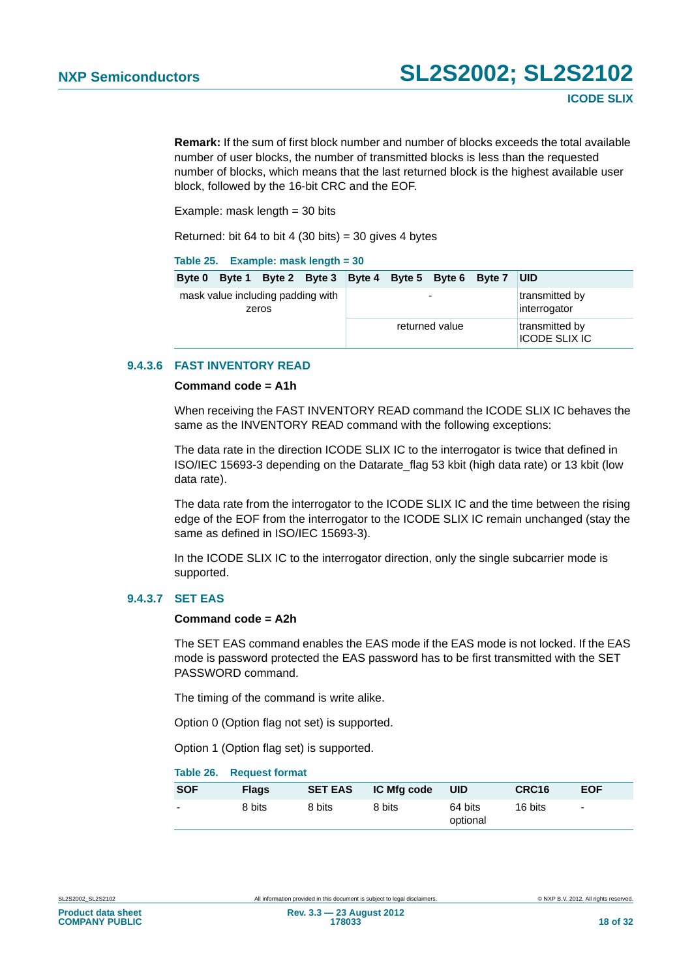**Remark:** If the sum of first block number and number of blocks exceeds the total available number of user blocks, the number of transmitted blocks is less than the requested number of blocks, which means that the last returned block is the highest available user block, followed by the 16-bit CRC and the EOF.

Example: mask length  $=$  30 bits

Returned: bit 64 to bit 4 (30 bits) = 30 gives 4 bytes

#### <span id="page-17-0"></span>**Table 25. Example: mask length = 30**

| <b>Byte 0</b>                              |  | Byte 1 Byte 2 Byte 3 Byte 4 Byte 5 Byte 6 Byte 7 |  |  |                                |  | <b>UID</b>                             |
|--------------------------------------------|--|--------------------------------------------------|--|--|--------------------------------|--|----------------------------------------|
| mask value including padding with<br>zeros |  | $\overline{\phantom{0}}$                         |  |  | transmitted by<br>interrogator |  |                                        |
|                                            |  |                                                  |  |  | returned value                 |  | transmitted by<br><b>ICODE SLIX IC</b> |

#### <span id="page-17-2"></span>**9.4.3.6 FAST INVENTORY READ**

#### **Command code = A1h**

When receiving the FAST INVENTORY READ command the ICODE SLIX IC behaves the same as the INVENTORY READ command with the following exceptions:

The data rate in the direction ICODE SLIX IC to the interrogator is twice that defined in ISO/IEC 15693-3 depending on the Datarate\_flag 53 kbit (high data rate) or 13 kbit (low data rate).

The data rate from the interrogator to the ICODE SLIX IC and the time between the rising edge of the EOF from the interrogator to the ICODE SLIX IC remain unchanged (stay the same as defined in ISO/IEC 15693-3).

In the ICODE SLIX IC to the interrogator direction, only the single subcarrier mode is supported.

#### <span id="page-17-3"></span>**9.4.3.7 SET EAS**

#### **Command code = A2h**

The SET EAS command enables the EAS mode if the EAS mode is not locked. If the EAS mode is password protected the EAS password has to be first transmitted with the SET PASSWORD command.

The timing of the command is write alike.

Option 0 (Option flag not set) is supported.

Option 1 (Option flag set) is supported.

#### <span id="page-17-1"></span>**Table 26. Request format**

| <b>SOF</b>               | <b>Flags</b> | <b>SET EAS</b> | IC Mfg code | <b>UID</b>          | CRC <sub>16</sub> | <b>EOF</b>               |
|--------------------------|--------------|----------------|-------------|---------------------|-------------------|--------------------------|
| $\overline{\phantom{0}}$ | 8 bits       | 8 bits         | 8 bits      | 64 bits<br>optional | 16 bits           | $\overline{\phantom{a}}$ |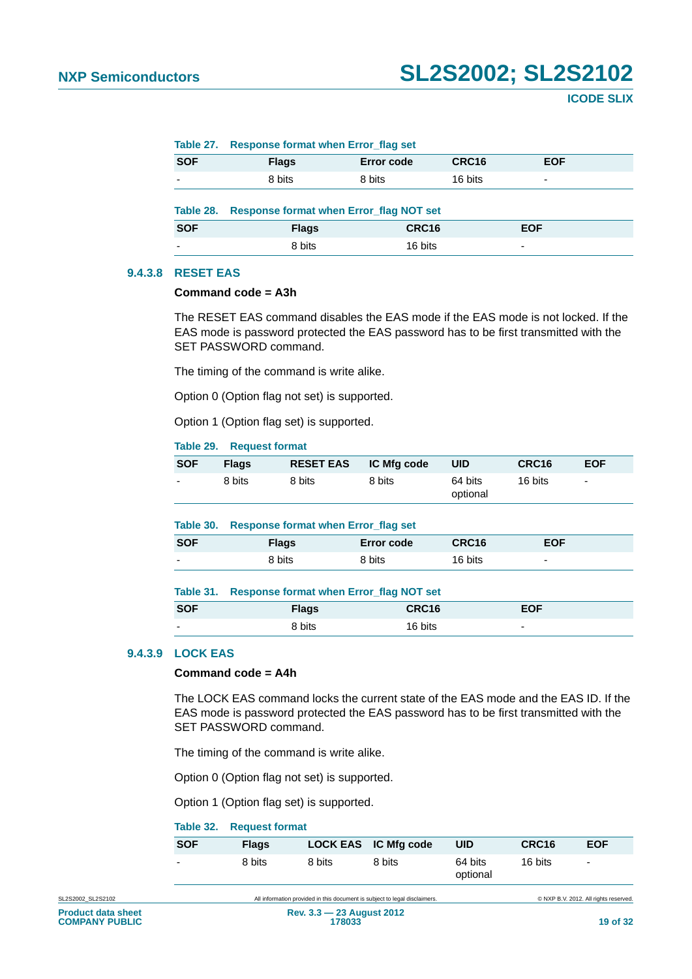<span id="page-18-1"></span>

|            | Table 27. Response format when Error had set   |                   |         |                          |  |  |  |
|------------|------------------------------------------------|-------------------|---------|--------------------------|--|--|--|
| <b>SOF</b> | <b>Flags</b>                                   | <b>Error code</b> | CRC16   | <b>EOF</b>               |  |  |  |
|            | 8 bits                                         | 8 bits            | 16 bits | $\overline{\phantom{0}}$ |  |  |  |
|            | <b>Response format when Error_flag NOT set</b> |                   |         |                          |  |  |  |
| Table 28.  |                                                |                   |         |                          |  |  |  |
| <b>SOF</b> | <b>Flags</b>                                   | CRC16             |         | <b>EOF</b>               |  |  |  |

#### <span id="page-18-6"></span>**9.4.3.8 RESET EAS**

#### **Command code = A3h**

The RESET EAS command disables the EAS mode if the EAS mode is not locked. If the EAS mode is password protected the EAS password has to be first transmitted with the SET PASSWORD command.

The timing of the command is write alike.

<span id="page-18-0"></span>**Table 27. Response format when Error\_flag set**

Option 0 (Option flag not set) is supported.

Option 1 (Option flag set) is supported.

#### <span id="page-18-2"></span>**Table 29. Request format**

| <b>SOF</b> | <b>Flags</b> | RESET EAS IC Mfg code |        | <b>UID</b>          | CRC <sub>16</sub> | <b>EOF</b> |
|------------|--------------|-----------------------|--------|---------------------|-------------------|------------|
| $\sim$     | 8 bits       | 8 bits                | 8 bits | 64 bits<br>optional | 16 bits           | $\sim$     |

#### <span id="page-18-3"></span>**Table 30. Response format when Error\_flag set**

| <b>SOF</b>               | <b>Flags</b> | Error code | CRC16   | <b>EOF</b>               |
|--------------------------|--------------|------------|---------|--------------------------|
| $\overline{\phantom{0}}$ | 8 bits       | 8 bits     | 16 bits | $\overline{\phantom{0}}$ |

#### <span id="page-18-4"></span>**Table 31. Response format when Error\_flag NOT set**

| <b>SOF</b> | <b>Flags</b> | CRC16   | <b>EOF</b>               |
|------------|--------------|---------|--------------------------|
| -          | 8 bits       | 16 bits | $\overline{\phantom{0}}$ |

#### <span id="page-18-7"></span>**9.4.3.9 LOCK EAS**

#### **Command code = A4h**

The LOCK EAS command locks the current state of the EAS mode and the EAS ID. If the EAS mode is password protected the EAS password has to be first transmitted with the SET PASSWORD command.

The timing of the command is write alike.

Option 0 (Option flag not set) is supported.

Option 1 (Option flag set) is supported.

#### <span id="page-18-5"></span>**Table 32. Request format**

| <b>SOF</b>               | <b>Flags</b> |        | LOCK EAS IC Mfg code | UID                 | CRC <sub>16</sub> | <b>EOF</b>     |
|--------------------------|--------------|--------|----------------------|---------------------|-------------------|----------------|
| $\overline{\phantom{0}}$ | 8 bits       | 8 bits | 8 bits               | 64 bits<br>optional | 16 bits           | $\overline{a}$ |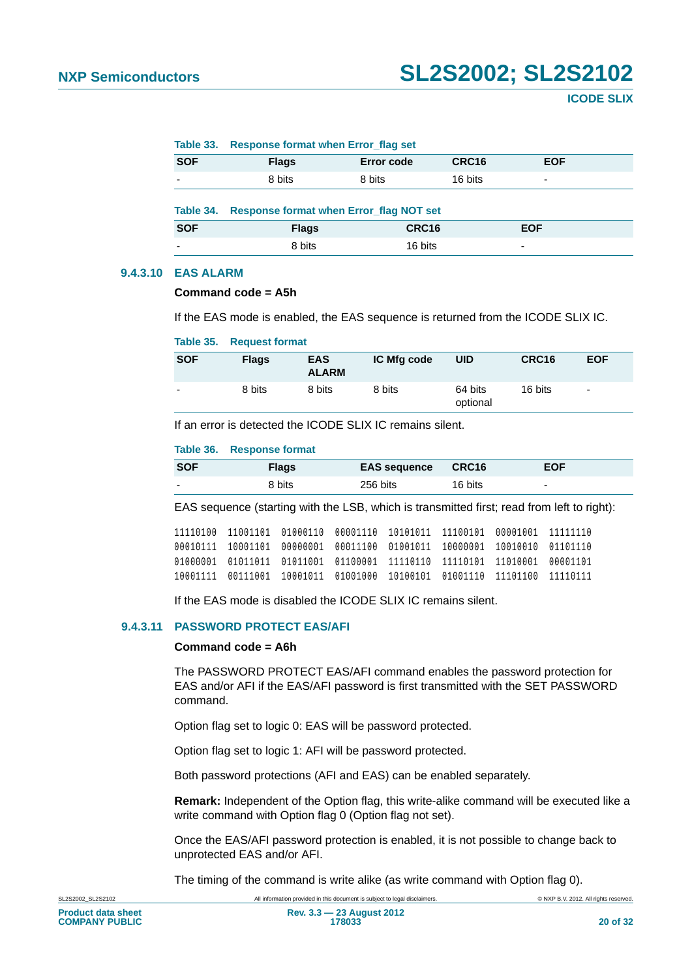#### <span id="page-19-1"></span>**Table 33. Response format when Error\_flag set**

| <b>SOF</b> | <b>Flags</b>                                   | <b>Error code</b> | CRC16   | <b>EOF</b>               |  |
|------------|------------------------------------------------|-------------------|---------|--------------------------|--|
| ۰          | 8 bits                                         | 8 bits            | 16 bits | $\overline{\phantom{0}}$ |  |
| Table 34.  | <b>Response format when Error_flag NOT set</b> |                   |         |                          |  |
| <b>SOF</b> | <b>Flags</b>                                   | CRC16             |         | <b>EOF</b>               |  |

#### <span id="page-19-5"></span>**9.4.3.10 EAS ALARM**

#### **Command code = A5h**

If the EAS mode is enabled, the EAS sequence is returned from the ICODE SLIX IC.

<span id="page-19-2"></span>example and the set of 8 bits the 16 bits of  $\sim$  16 bits the set of  $\sim$  16 bits the set of  $\sim$  16 bits the set of  $\sim$  16 bits the set of  $\sim$  16 bits the set of  $\sim$  16 bits the set of  $\sim$  16 bits the set of  $\sim$  16 b

#### <span id="page-19-3"></span>**Table 35. Request format**

| <b>SOF</b>               | <b>Flags</b> | <b>EAS</b><br><b>ALARM</b> | IC Mfg code | <b>UID</b>          | CRC16   | <b>EOF</b> |
|--------------------------|--------------|----------------------------|-------------|---------------------|---------|------------|
| $\overline{\phantom{0}}$ | 8 bits       | 8 bits                     | 8 bits      | 64 bits<br>optional | 16 bits | ٠          |

If an error is detected the ICODE SLIX IC remains silent.

#### <span id="page-19-4"></span>**Table 36. Response format**

| <b>SOF</b>               | <b>Flags</b> | <b>EAS sequence</b> | CRC16   | <b>EOF</b>               |
|--------------------------|--------------|---------------------|---------|--------------------------|
| $\overline{\phantom{0}}$ | 8 bits       | 256 bits            | 16 bits | $\overline{\phantom{0}}$ |

EAS sequence (starting with the LSB, which is transmitted first; read from left to right):

```
11110100 11001101 01000110 00001110 10101011 11100101 00001001 11111110
00010111 10001101 00000001 00011100 01001011 10000001 10010010 01101110
01000001 01011011 01011001 01100001 11110110 11110101 11010001 00001101
10001111 00111001 10001011 01001000 10100101 01001110 11101100 11110111
```
If the EAS mode is disabled the ICODE SLIX IC remains silent.

#### <span id="page-19-0"></span>**9.4.3.11 PASSWORD PROTECT EAS/AFI**

#### **Command code = A6h**

The PASSWORD PROTECT EAS/AFI command enables the password protection for EAS and/or AFI if the EAS/AFI password is first transmitted with the SET PASSWORD command.

Option flag set to logic 0: EAS will be password protected.

Option flag set to logic 1: AFI will be password protected.

Both password protections (AFI and EAS) can be enabled separately.

**Remark:** Independent of the Option flag, this write-alike command will be executed like a write command with Option flag 0 (Option flag not set).

Once the EAS/AFI password protection is enabled, it is not possible to change back to unprotected EAS and/or AFI.

The timing of the command is write alike (as write command with Option flag 0).

SL2S2002\_SL2S2102 All information provided in this document is subject to legal disclaimers. © NXP B.V. 2012. All rights reserved.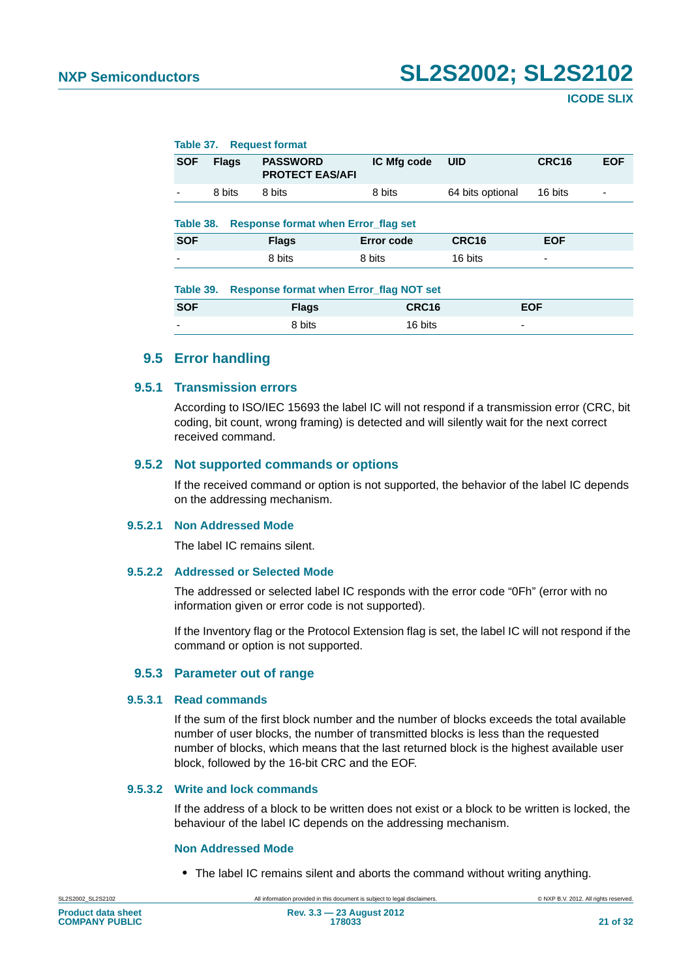<span id="page-20-1"></span><span id="page-20-0"></span>

| Table 37.  |              | <b>Request format</b>                     |             |                          |                   |            |
|------------|--------------|-------------------------------------------|-------------|--------------------------|-------------------|------------|
| <b>SOF</b> | <b>Flags</b> | <b>PASSWORD</b><br><b>PROTECT EAS/AFI</b> | IC Mfg code | <b>UID</b>               | CRC <sub>16</sub> | <b>EOF</b> |
|            | 8 bits       | 8 bits                                    | 8 bits      | 64 bits optional         | 16 bits           |            |
| Table 38.  |              | Response format when Error flag set       |             |                          |                   |            |
| <b>SOF</b> |              | <b>Flags</b>                              | Error code  | CRC <sub>16</sub>        | <b>EOF</b>        |            |
|            |              | 8 bits                                    | 8 bits      | 16 bits                  | -                 |            |
| Table 39.  |              | Response format when Error flag NOT set   |             |                          |                   |            |
| <b>SOF</b> |              | <b>Flags</b>                              | CRC16       |                          | <b>EOF</b>        |            |
|            |              | 8 bits                                    | 16 bits     | $\overline{\phantom{a}}$ |                   |            |
|            |              |                                           |             |                          |                   |            |

#### <span id="page-20-2"></span>**9.5 Error handling**

#### <span id="page-20-4"></span><span id="page-20-3"></span>**9.5.1 Transmission errors**

According to ISO/IEC 15693 the label IC will not respond if a transmission error (CRC, bit coding, bit count, wrong framing) is detected and will silently wait for the next correct received command.

#### <span id="page-20-5"></span>**9.5.2 Not supported commands or options**

If the received command or option is not supported, the behavior of the label IC depends on the addressing mechanism.

#### <span id="page-20-6"></span>**9.5.2.1 Non Addressed Mode**

The label IC remains silent.

#### <span id="page-20-7"></span>**9.5.2.2 Addressed or Selected Mode**

The addressed or selected label IC responds with the error code "0Fh" (error with no information given or error code is not supported).

If the Inventory flag or the Protocol Extension flag is set, the label IC will not respond if the command or option is not supported.

#### **9.5.3 Parameter out of range**

#### <span id="page-20-9"></span><span id="page-20-8"></span>**9.5.3.1 Read commands**

If the sum of the first block number and the number of blocks exceeds the total available number of user blocks, the number of transmitted blocks is less than the requested number of blocks, which means that the last returned block is the highest available user block, followed by the 16-bit CRC and the EOF.

#### <span id="page-20-10"></span>**9.5.3.2 Write and lock commands**

If the address of a block to be written does not exist or a block to be written is locked, the behaviour of the label IC depends on the addressing mechanism.

#### <span id="page-20-11"></span>**Non Addressed Mode**

**•** The label IC remains silent and aborts the command without writing anything.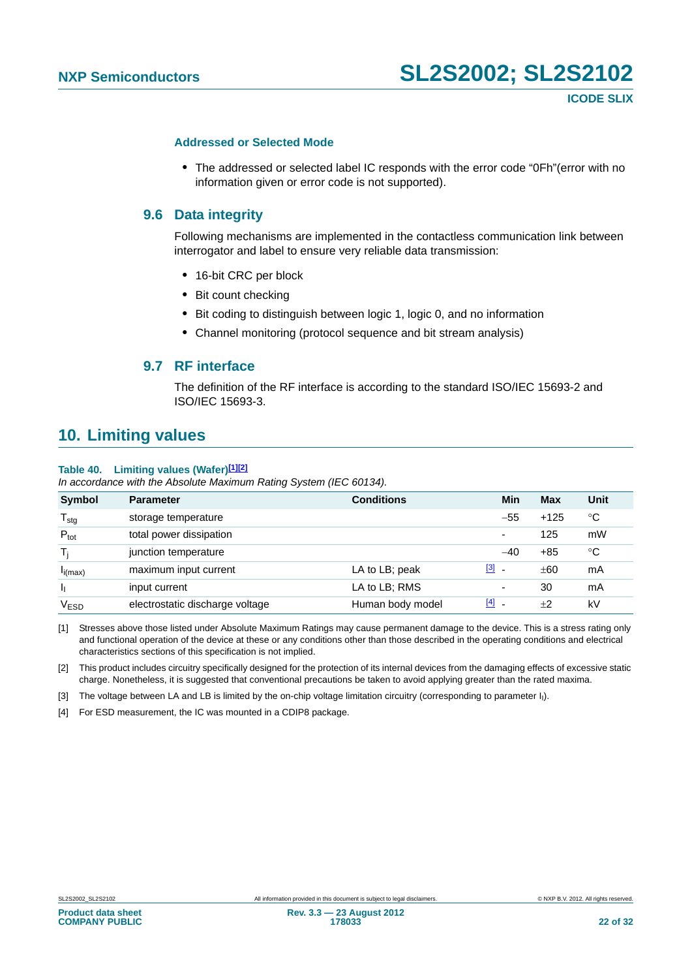#### <span id="page-21-5"></span>**Addressed or Selected Mode**

**•** The addressed or selected label IC responds with the error code "0Fh"(error with no information given or error code is not supported).

#### <span id="page-21-6"></span>**9.6 Data integrity**

Following mechanisms are implemented in the contactless communication link between interrogator and label to ensure very reliable data transmission:

- **•** 16-bit CRC per block
- **•** Bit count checking
- **•** Bit coding to distinguish between logic 1, logic 0, and no information
- **•** Channel monitoring (protocol sequence and bit stream analysis)

#### **9.7 RF interface**

The definition of the RF interface is according to the standard ISO/IEC 15693-2 and ISO/IEC 15693-3.

### <span id="page-21-8"></span><span id="page-21-7"></span>**10. Limiting values**

#### <span id="page-21-4"></span>**Table 40. Limiting values (Wafer)[\[1\]](#page-21-0)[\[2\]](#page-21-1)**

*In accordance with the Absolute Maximum Rating System (IEC 60134).*

| <b>Symbol</b>    | <b>Parameter</b>                | <b>Conditions</b> | Min                                    | Max    | Unit |
|------------------|---------------------------------|-------------------|----------------------------------------|--------|------|
| $T_{\text{stg}}$ | storage temperature             |                   | $-55$                                  | $+125$ | °C   |
| $P_{\text{tot}}$ | total power dissipation         |                   | ۰                                      | 125    | mW   |
| Ti.              | junction temperature            |                   | $-40$                                  | $+85$  | °C   |
| $I_{i(max)}$     | maximum input current           | LA to LB; peak    | <u>[3]</u><br>$\overline{\phantom{a}}$ | ±60    | mA   |
| h,               | input current                   | LA to LB; RMS     |                                        | 30     | mA   |
| VESD             | electrostatic discharge voltage | Human body model  | $[4]$                                  | ±2     | kV   |

<span id="page-21-0"></span>[1] Stresses above those listed under Absolute Maximum Ratings may cause permanent damage to the device. This is a stress rating only and functional operation of the device at these or any conditions other than those described in the operating conditions and electrical characteristics sections of this specification is not implied.

<span id="page-21-1"></span>[2] This product includes circuitry specifically designed for the protection of its internal devices from the damaging effects of excessive static charge. Nonetheless, it is suggested that conventional precautions be taken to avoid applying greater than the rated maxima.

<span id="page-21-2"></span>[3] The voltage between LA and LB is limited by the on-chip voltage limitation circuitry (corresponding to parameter I<sub>I</sub>).

<span id="page-21-3"></span>[4] For ESD measurement, the IC was mounted in a CDIP8 package.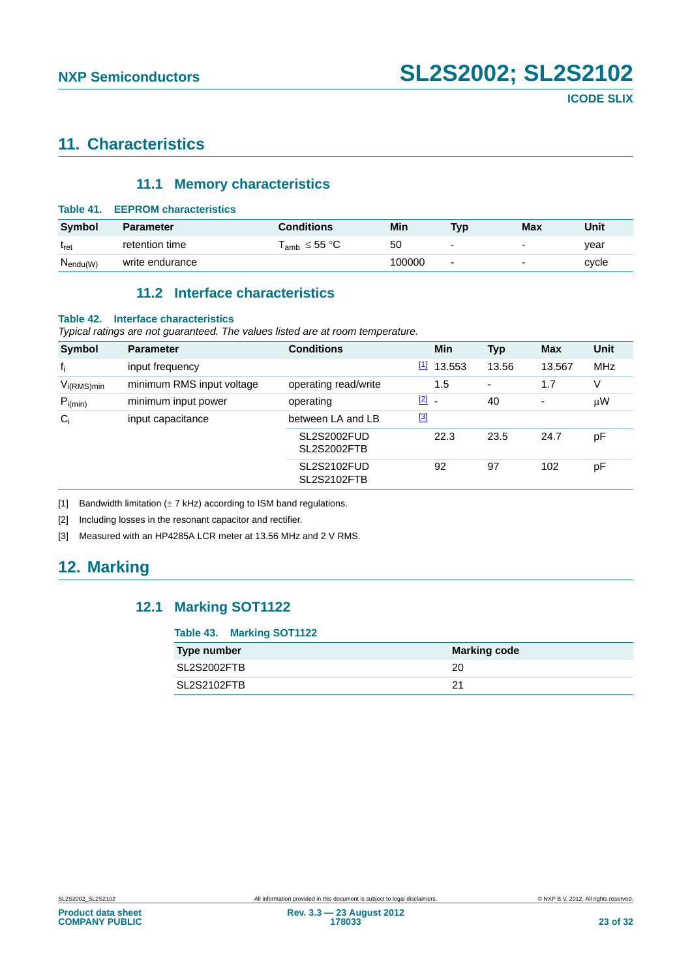## <span id="page-22-6"></span>**11. Characteristics**

#### **11.1 Memory characteristics**

<span id="page-22-7"></span><span id="page-22-3"></span>

| Table 41.                | <b>EEPROM characteristics</b> |                                                          |        |                |                          |       |
|--------------------------|-------------------------------|----------------------------------------------------------|--------|----------------|--------------------------|-------|
| Symbol                   | <b>Parameter</b>              | <b>Conditions</b>                                        | Min    | Typ            | Max                      | Unit  |
| $\mathfrak{t}_{\sf ret}$ | retention time                | $\mathsf{T}_{\mathsf{amb}} \leq 55\ \mathrm{^\circ C}$ . | 50     | ۰              | $\overline{\phantom{0}}$ | vear  |
| $N_{endu(W)}$            | write endurance               |                                                          | 100000 | $\overline{a}$ | $\blacksquare$           | cycle |

### **11.2 Interface characteristics**

#### <span id="page-22-8"></span><span id="page-22-4"></span>**Table 42. Interface characteristics**

*Typical ratings are not guaranteed. The values listed are at room temperature.*

| <b>Symbol</b>   | <b>Parameter</b>          | <b>Conditions</b>                        |             | Min                      | <b>Typ</b> | <b>Max</b>     | Unit       |
|-----------------|---------------------------|------------------------------------------|-------------|--------------------------|------------|----------------|------------|
| $f_i$           | input frequency           |                                          | $\boxed{1}$ | 13.553                   | 13.56      | 13.567         | <b>MHz</b> |
| $V_{i(RMS)min}$ | minimum RMS input voltage | operating read/write                     |             | 1.5                      | ٠          | 1.7            | ٧          |
| $P_{i(min)}$    | minimum input power       | operating                                | [2]         | $\overline{\phantom{a}}$ | 40         | $\blacksquare$ | $\mu$ W    |
| $C_i$           | input capacitance         | between LA and LB                        | $\boxed{3}$ |                          |            |                |            |
|                 |                           | <b>SL2S2002FUD</b><br><b>SL2S2002FTB</b> |             | 22.3                     | 23.5       | 24.7           | pF         |
|                 |                           | <b>SL2S2102FUD</b><br><b>SL2S2102FTB</b> |             | 92                       | 97         | 102            | pF         |

<span id="page-22-0"></span>[1] Bandwidth limitation  $(\pm 7 \text{ kHz})$  according to ISM band regulations.

<span id="page-22-1"></span>[2] Including losses in the resonant capacitor and rectifier.

<span id="page-22-2"></span>[3] Measured with an HP4285A LCR meter at 13.56 MHz and 2 V RMS.

## <span id="page-22-10"></span><span id="page-22-9"></span>**12. Marking**

### **12.1 Marking SOT1122**

#### <span id="page-22-5"></span>**Table 43. Marking SOT1122**

| Type number | <b>Marking code</b> |
|-------------|---------------------|
| SL2S2002FTB | 20                  |
| SL2S2102FTB | 21                  |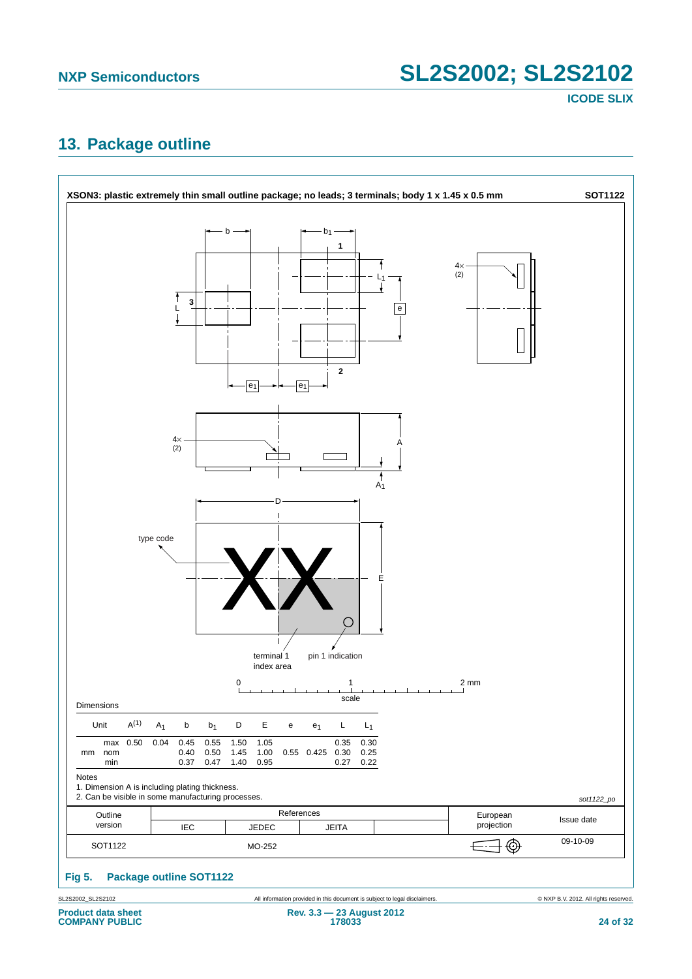**ICODE SLIX**

## <span id="page-23-1"></span>**13. Package outline**



<span id="page-23-0"></span>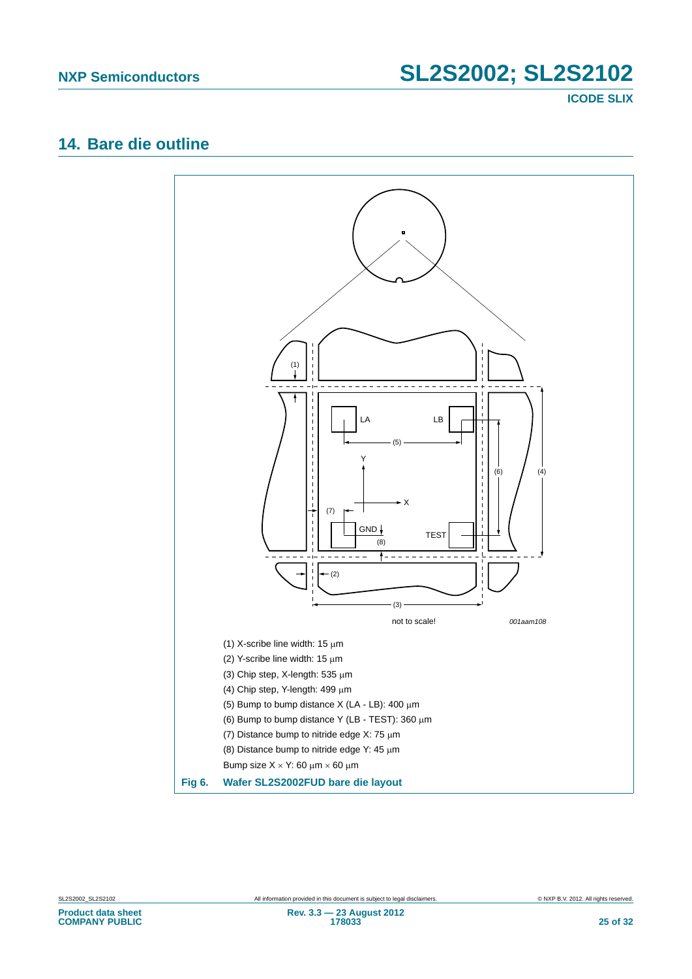**ICODE SLIX**

## <span id="page-24-1"></span>**14. Bare die outline**

<span id="page-24-0"></span>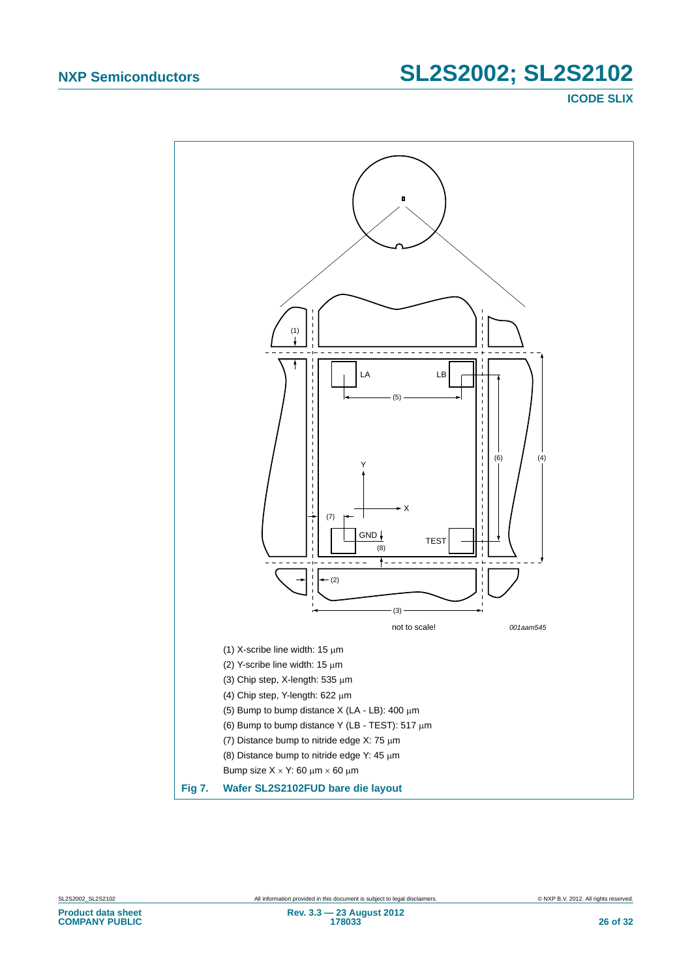**ICODE SLIX**

<span id="page-25-0"></span>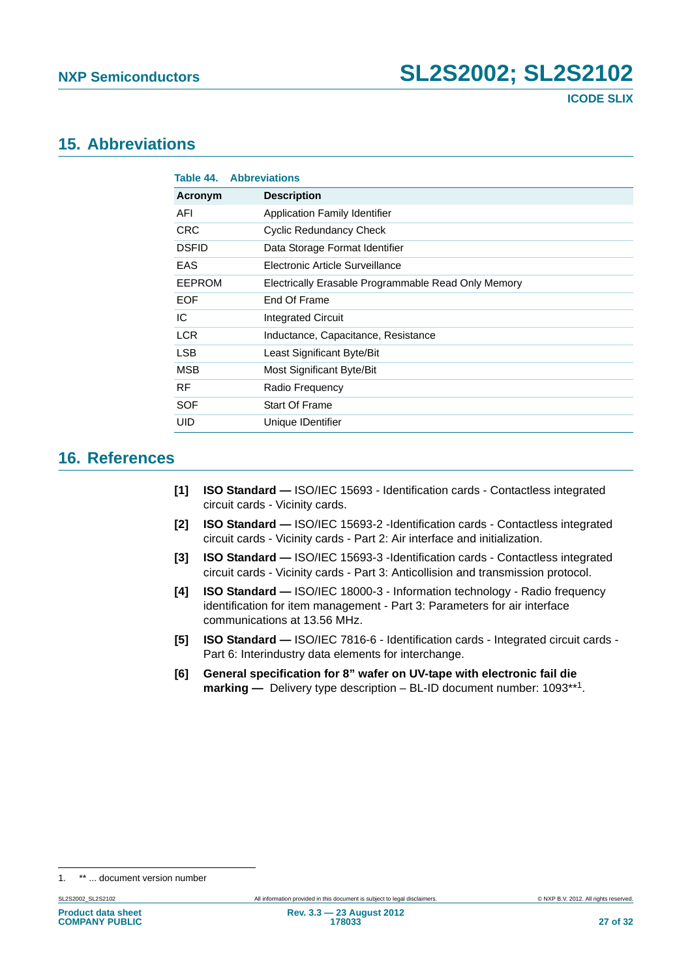### <span id="page-26-7"></span>**15. Abbreviations**

<span id="page-26-6"></span>

| Table 44.    | <b>Abbreviations</b>                                |
|--------------|-----------------------------------------------------|
| Acronym      | <b>Description</b>                                  |
| AFI          | <b>Application Family Identifier</b>                |
| <b>CRC</b>   | Cyclic Redundancy Check                             |
| <b>DSFID</b> | Data Storage Format Identifier                      |
| EAS          | Electronic Article Surveillance                     |
| EEPROM       | Electrically Erasable Programmable Read Only Memory |
| <b>EOF</b>   | End Of Frame                                        |
| IC           | <b>Integrated Circuit</b>                           |
| <b>LCR</b>   | Inductance, Capacitance, Resistance                 |
| <b>LSB</b>   | Least Significant Byte/Bit                          |
| <b>MSB</b>   | Most Significant Byte/Bit                           |
| <b>RF</b>    | Radio Frequency                                     |
| SOF          | <b>Start Of Frame</b>                               |
| UID          | Unique IDentifier                                   |

### <span id="page-26-8"></span>**16. References**

- <span id="page-26-0"></span>**[1] ISO Standard —** ISO/IEC 15693 - Identification cards - Contactless integrated circuit cards - Vicinity cards.
- <span id="page-26-3"></span>**[2] ISO Standard —** ISO/IEC 15693-2 -Identification cards - Contactless integrated circuit cards - Vicinity cards - Part 2: Air interface and initialization.
- <span id="page-26-4"></span>**[3] ISO Standard —** ISO/IEC 15693-3 -Identification cards - Contactless integrated circuit cards - Vicinity cards - Part 3: Anticollision and transmission protocol.
- <span id="page-26-1"></span>**[4] ISO Standard —** ISO/IEC 18000-3 - Information technology - Radio frequency identification for item management - Part 3: Parameters for air interface communications at 13.56 MHz.
- <span id="page-26-5"></span>**[5] ISO Standard —** ISO/IEC 7816-6 - Identification cards - Integrated circuit cards - Part 6: Interindustry data elements for interchange.
- <span id="page-26-2"></span>**[6] General specification for 8" wafer on UV-tape with electronic fail die marking —** Delivery type description – BL-ID document number: 1093\*\*1.

<sup>1. \*\* ...</sup> document version number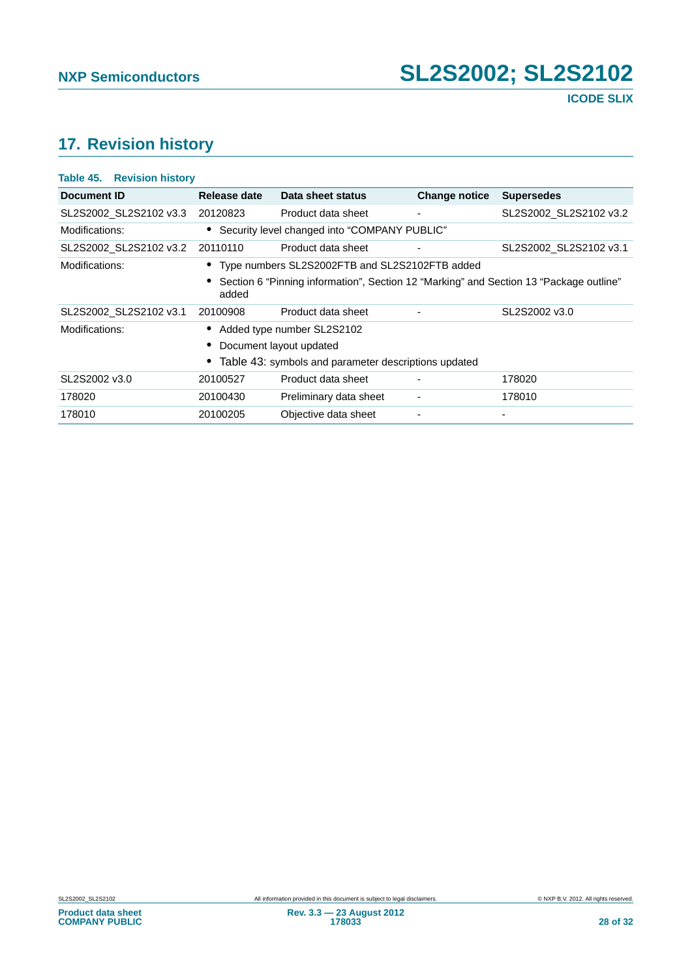## <span id="page-27-1"></span>**17. Revision history**

<span id="page-27-0"></span>

| Table 45. Revision history |                                                      |                                                                                        |                      |                        |  |
|----------------------------|------------------------------------------------------|----------------------------------------------------------------------------------------|----------------------|------------------------|--|
| Document ID                | Release date                                         | Data sheet status                                                                      | <b>Change notice</b> | <b>Supersedes</b>      |  |
| SL2S2002_SL2S2102 v3.3     | 20120823                                             | Product data sheet                                                                     | ٠                    | SL2S2002 SL2S2102 v3.2 |  |
| Modifications:             |                                                      | • Security level changed into "COMPANY PUBLIC"                                         |                      |                        |  |
| SL2S2002 SL2S2102 v3.2     | 20110110                                             | Product data sheet                                                                     |                      | SL2S2002 SL2S2102 v3.1 |  |
| Modifications:             |                                                      | • Type numbers SL2S2002FTB and SL2S2102FTB added                                       |                      |                        |  |
|                            | added                                                | Section 6 "Pinning information", Section 12 "Marking" and Section 13 "Package outline" |                      |                        |  |
| SL2S2002 SL2S2102 v3.1     | 20100908                                             | Product data sheet                                                                     |                      | SL2S2002 v3.0          |  |
| Modifications:             |                                                      | Added type number SL2S2102                                                             |                      |                        |  |
|                            |                                                      | Document layout updated                                                                |                      |                        |  |
|                            | Table 43: symbols and parameter descriptions updated |                                                                                        |                      |                        |  |
| SL2S2002 v3.0              | 20100527                                             | Product data sheet                                                                     |                      | 178020                 |  |
| 178020                     | 20100430                                             | Preliminary data sheet                                                                 | $\blacksquare$       | 178010                 |  |
| 178010                     | 20100205                                             | Objective data sheet                                                                   |                      |                        |  |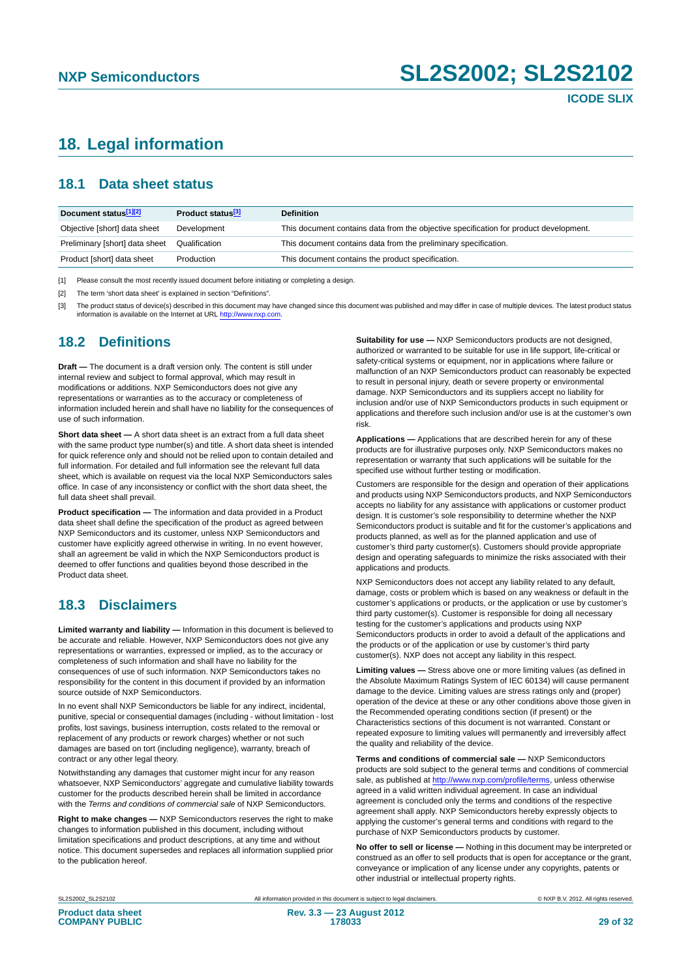## <span id="page-28-0"></span>**18. Legal information**

#### <span id="page-28-1"></span>**18.1 Data sheet status**

| Document status[1][2]          | Product status <sup>[3]</sup> | <b>Definition</b>                                                                     |
|--------------------------------|-------------------------------|---------------------------------------------------------------------------------------|
| Objective [short] data sheet   | Development                   | This document contains data from the objective specification for product development. |
| Preliminary [short] data sheet | Qualification                 | This document contains data from the preliminary specification.                       |
| Product [short] data sheet     | Production                    | This document contains the product specification.                                     |

[1] Please consult the most recently issued document before initiating or completing a design.

[2] The term 'short data sheet' is explained in section "Definitions".

[3] The product status of device(s) described in this document may have changed since this document was published and may differ in case of multiple devices. The latest product status<br>information is available on the Intern

#### <span id="page-28-2"></span>**18.2 Definitions**

**Draft —** The document is a draft version only. The content is still under internal review and subject to formal approval, which may result in modifications or additions. NXP Semiconductors does not give any representations or warranties as to the accuracy or completeness of information included herein and shall have no liability for the consequences of use of such information.

**Short data sheet —** A short data sheet is an extract from a full data sheet with the same product type number(s) and title. A short data sheet is intended for quick reference only and should not be relied upon to contain detailed and full information. For detailed and full information see the relevant full data sheet, which is available on request via the local NXP Semiconductors sales office. In case of any inconsistency or conflict with the short data sheet, the full data sheet shall prevail.

**Product specification —** The information and data provided in a Product data sheet shall define the specification of the product as agreed between NXP Semiconductors and its customer, unless NXP Semiconductors and customer have explicitly agreed otherwise in writing. In no event however, shall an agreement be valid in which the NXP Semiconductors product is deemed to offer functions and qualities beyond those described in the Product data sheet.

### <span id="page-28-3"></span>**18.3 Disclaimers**

**Limited warranty and liability —** Information in this document is believed to be accurate and reliable. However, NXP Semiconductors does not give any representations or warranties, expressed or implied, as to the accuracy or completeness of such information and shall have no liability for the consequences of use of such information. NXP Semiconductors takes no responsibility for the content in this document if provided by an information source outside of NXP Semiconductors.

In no event shall NXP Semiconductors be liable for any indirect, incidental, punitive, special or consequential damages (including - without limitation - lost profits, lost savings, business interruption, costs related to the removal or replacement of any products or rework charges) whether or not such damages are based on tort (including negligence), warranty, breach of contract or any other legal theory.

Notwithstanding any damages that customer might incur for any reason whatsoever, NXP Semiconductors' aggregate and cumulative liability towards customer for the products described herein shall be limited in accordance with the *Terms and conditions of commercial sale* of NXP Semiconductors.

**Right to make changes —** NXP Semiconductors reserves the right to make changes to information published in this document, including without limitation specifications and product descriptions, at any time and without notice. This document supersedes and replaces all information supplied prior to the publication hereof.

**Suitability for use —** NXP Semiconductors products are not designed, authorized or warranted to be suitable for use in life support, life-critical or safety-critical systems or equipment, nor in applications where failure or malfunction of an NXP Semiconductors product can reasonably be expected to result in personal injury, death or severe property or environmental damage. NXP Semiconductors and its suppliers accept no liability for inclusion and/or use of NXP Semiconductors products in such equipment or applications and therefore such inclusion and/or use is at the customer's own risk.

**Applications —** Applications that are described herein for any of these products are for illustrative purposes only. NXP Semiconductors makes no representation or warranty that such applications will be suitable for the specified use without further testing or modification.

Customers are responsible for the design and operation of their applications and products using NXP Semiconductors products, and NXP Semiconductors accepts no liability for any assistance with applications or customer product design. It is customer's sole responsibility to determine whether the NXP Semiconductors product is suitable and fit for the customer's applications and products planned, as well as for the planned application and use of customer's third party customer(s). Customers should provide appropriate design and operating safeguards to minimize the risks associated with their applications and products.

NXP Semiconductors does not accept any liability related to any default. damage, costs or problem which is based on any weakness or default in the customer's applications or products, or the application or use by customer's third party customer(s). Customer is responsible for doing all necessary testing for the customer's applications and products using NXP Semiconductors products in order to avoid a default of the applications and the products or of the application or use by customer's third party customer(s). NXP does not accept any liability in this respect.

**Limiting values —** Stress above one or more limiting values (as defined in the Absolute Maximum Ratings System of IEC 60134) will cause permanent damage to the device. Limiting values are stress ratings only and (proper) operation of the device at these or any other conditions above those given in the Recommended operating conditions section (if present) or the Characteristics sections of this document is not warranted. Constant or repeated exposure to limiting values will permanently and irreversibly affect the quality and reliability of the device.

**Terms and conditions of commercial sale —** NXP Semiconductors products are sold subject to the general terms and conditions of commercial sale, as published at<http://www.nxp.com/profile/terms>, unless otherwise agreed in a valid written individual agreement. In case an individual agreement is concluded only the terms and conditions of the respective agreement shall apply. NXP Semiconductors hereby expressly objects to applying the customer's general terms and conditions with regard to the purchase of NXP Semiconductors products by customer.

**No offer to sell or license —** Nothing in this document may be interpreted or construed as an offer to sell products that is open for acceptance or the grant, conveyance or implication of any license under any copyrights, patents or other industrial or intellectual property rights.

SL2S2002 SL2S2102 **All information provided in this document** is subject to legal disclaimers. © NXP B.V. 2012. All rights reserved.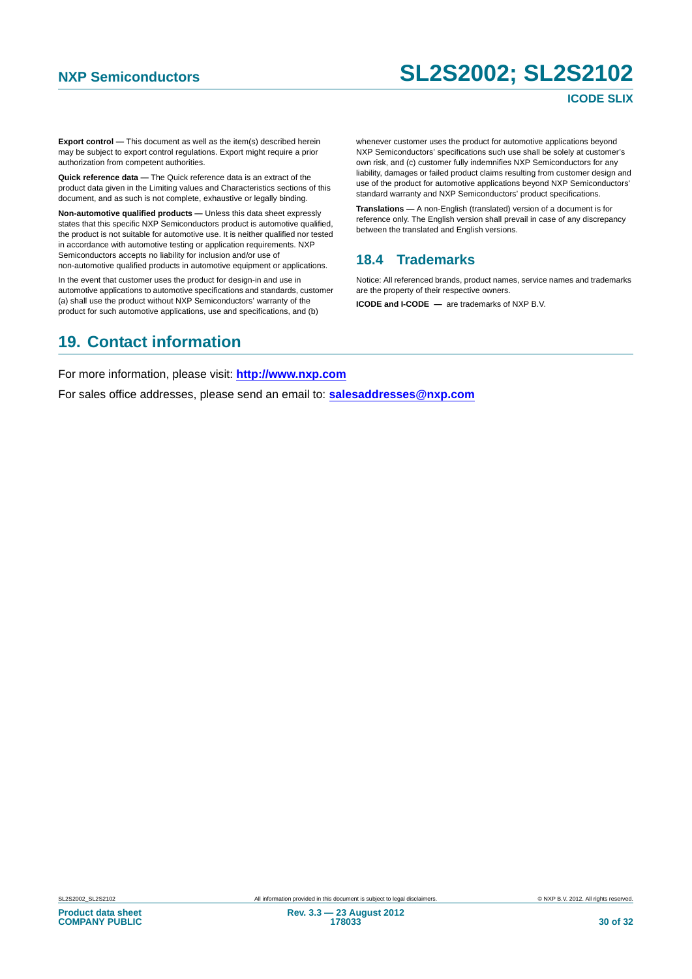#### **ICODE SLIX**

**Export control —** This document as well as the item(s) described herein may be subject to export control regulations. Export might require a prior authorization from competent authorities.

**Quick reference data —** The Quick reference data is an extract of the product data given in the Limiting values and Characteristics sections of this document, and as such is not complete, exhaustive or legally binding.

**Non-automotive qualified products —** Unless this data sheet expressly states that this specific NXP Semiconductors product is automotive qualified, the product is not suitable for automotive use. It is neither qualified nor tested in accordance with automotive testing or application requirements. NXP Semiconductors accepts no liability for inclusion and/or use of non-automotive qualified products in automotive equipment or applications.

In the event that customer uses the product for design-in and use in automotive applications to automotive specifications and standards, customer (a) shall use the product without NXP Semiconductors' warranty of the product for such automotive applications, use and specifications, and (b)

whenever customer uses the product for automotive applications beyond NXP Semiconductors' specifications such use shall be solely at customer's own risk, and (c) customer fully indemnifies NXP Semiconductors for any liability, damages or failed product claims resulting from customer design and use of the product for automotive applications beyond NXP Semiconductors' standard warranty and NXP Semiconductors' product specifications.

**Translations —** A non-English (translated) version of a document is for reference only. The English version shall prevail in case of any discrepancy between the translated and English versions.

#### <span id="page-29-0"></span>**18.4 Trademarks**

Notice: All referenced brands, product names, service names and trademarks are the property of their respective owners.

**ICODE and I-CODE —** are trademarks of NXP B.V.

## <span id="page-29-1"></span>**19. Contact information**

For more information, please visit: **http://www.nxp.com**

For sales office addresses, please send an email to: **salesaddresses@nxp.com**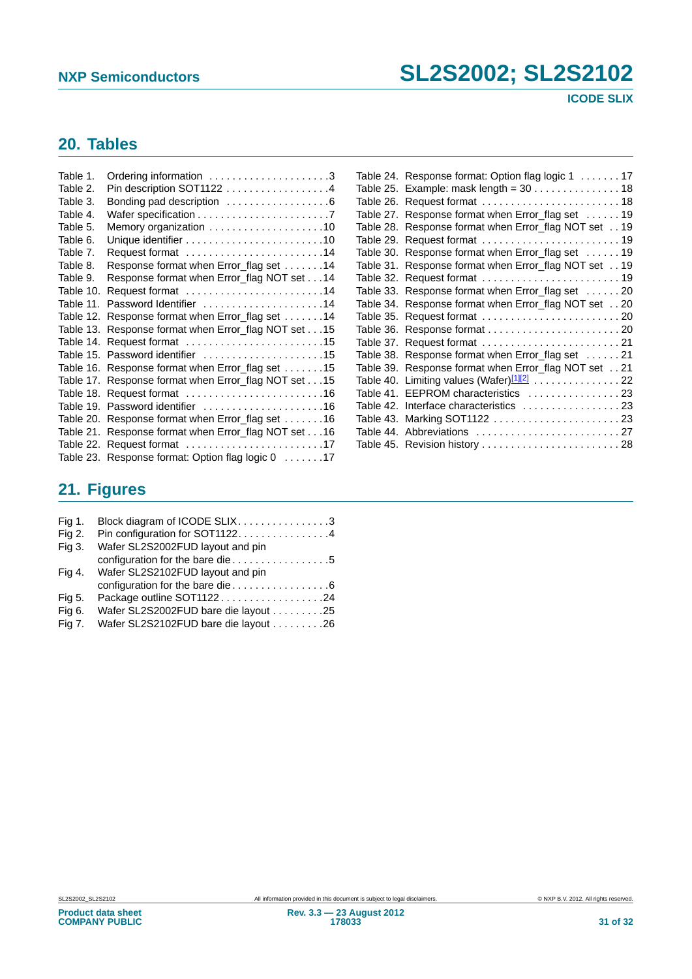**ICODE SLIX**

## <span id="page-30-0"></span>**20. Tables**

| Table 1.  | Ordering information 3                               |
|-----------|------------------------------------------------------|
| Table 2.  | Pin description SOT1122 4                            |
| Table 3.  | Bonding pad description 6                            |
| Table 4.  |                                                      |
| Table 5.  |                                                      |
| Table 6.  |                                                      |
| Table 7.  | Request format 14                                    |
| Table 8.  | Response format when Error_flag set 14               |
| Table 9.  | Response format when Error_flag NOT set 14           |
| Table 10. | Request format 14                                    |
| Table 11. | Password Identifier 14                               |
| Table 12. | Response format when Error_flag set 14               |
| Table 13. | Response format when Error_flag NOT set 15           |
| Table 14. | Request format 15                                    |
|           | Table 15. Password identifier 15                     |
|           | Table 16. Response format when Error_flag set 15     |
|           | Table 17. Response format when Error_flag NOT set 15 |
| Table 18. |                                                      |
|           | Table 19. Password identifier 16                     |
|           | Table 20. Response format when Error_flag set 16     |
| Table 21. | Response format when Error_flag NOT set 16           |
| Table 22. | Request format 17                                    |
|           | Table 23. Response format: Option flag logic 0 17    |
|           |                                                      |

| Table 24. | Response format: Option flag logic 1 17                |
|-----------|--------------------------------------------------------|
| Table 25. |                                                        |
| Table 26. | Request format  18                                     |
| Table 27. | Response format when Error_flag set 19                 |
| Table 28. | Response format when Error_flag NOT set 19             |
| Table 29. |                                                        |
| Table 30. | Response format when Error_flag set 19                 |
| Table 31. | Response format when Error_flag NOT set 19             |
| Table 32. |                                                        |
| Table 33. | Response format when Error_flag set 20                 |
| Table 34. | Response format when Error_flag NOT set 20             |
| Table 35. |                                                        |
| Table 36. |                                                        |
| Table 37. |                                                        |
| Table 38. | Response format when Error_flag set 21                 |
| Table 39. | Response format when Error_flag NOT set 21             |
|           | Table 40. Limiting values (Wafer) <sup>[1][2]</sup> 22 |
|           | Table 41. EEPROM characteristics 23                    |
|           | Table 42. Interface characteristics 23                 |
|           | Table 43. Marking SOT1122  23                          |
|           |                                                        |
|           | Table 45. Revision history  28                         |

## <span id="page-30-1"></span>**21. Figures**

| <b>Fig 1.</b> | Block diagram of ICODE SLIX3         |
|---------------|--------------------------------------|
| Fig 2.        | Pin configuration for SOT11224       |
| Fig 3.        | Wafer SL2S2002FUD layout and pin     |
|               | configuration for the bare die5      |
| Fig 4.        | Wafer SL2S2102FUD layout and pin     |
|               |                                      |
| Fig 5.        | Package outline SOT112224            |
| Fig 6.        | Wafer SL2S2002FUD bare die layout 25 |
| <b>Fig 7.</b> | Wafer SL2S2102FUD bare die layout 26 |